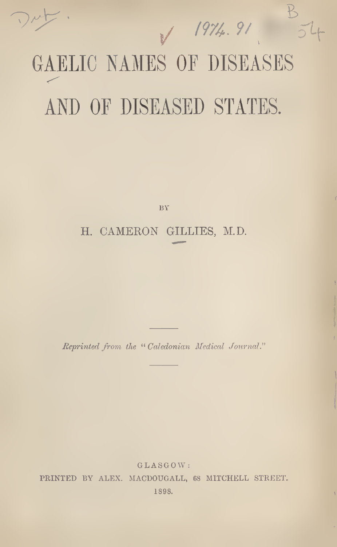/ / I97A. 9/

 $\heartsuit$ 

# GAELIC NAMES OF DISEASES AND OF DISEASED STATES.

v

BY

## H. CAMERON GILLIES, M.D.

Reprinted from the "Caledonian Medical Journal."

GLASGOW : PRINTED BY ALEX. MACDOUGALL, 68 MITCHELL STREET. 1898.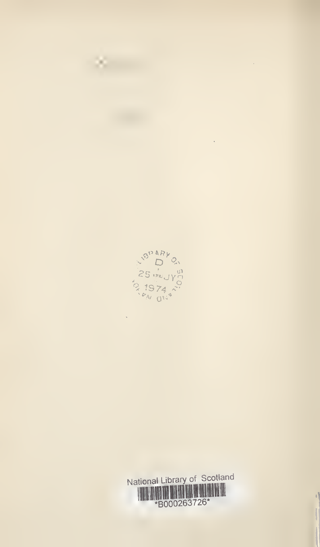

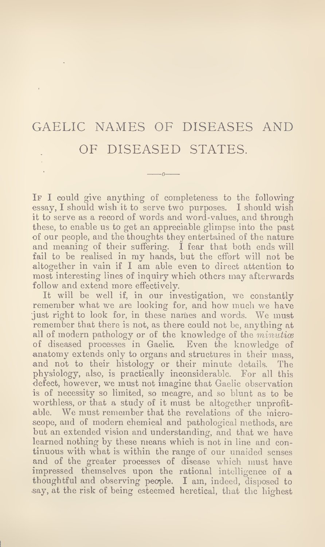# GAELIC NAMES OF DISEASES AND OF DISEASED STATES.

 $\overline{z}$ 

IF I could give anything of completeness to the following essay, I should wish it to serve two purposes. I should wish it to serve as a record of words and word-values, and through these, to enable us to get an appreciable glimpse into the past of our people, and the thoughts they entertained of the nature and meaning of their suffering. I fear that both ends will fail to be realised in my hands, but the effort will not be altogether in vain if I am able even to direct attention to most interesting lines of inquiry which others may afterwards follow and extend more effectively.

It will be well if, in our investigation, we constantly remember what we are looking for, and how much we have just right to look for, in these names and words. We must remember that there is not, as there could not be, anything at all of modern pathology or of the knowledge of the  $minutive$ of diseased processes in Gaelic. Even the knowledge of anatomy extends only to organs and structures in their mass, and not to their histology or their minute details. The physiology, also, is practically inconsiderable. For all this defect, however, we must not imagine that Gaelic observation is of necessity so limited, so meagre, and so blunt as to be worthless, or that a study of it must be altogether unprofitable. We must remember that the revelations of the microscope, and of modern chemical and pathological methods, are but an extended vision and understanding, and that we have learned nothing by these means which is not in line and continuous with what is within the range of our unaided senses and of the greater processes of disease which must have impressed themselves upon the rational intelligence of a thoughtful and observing people. I am, indeed, disposed to say, at the risk of being esteemed heretical, that the highest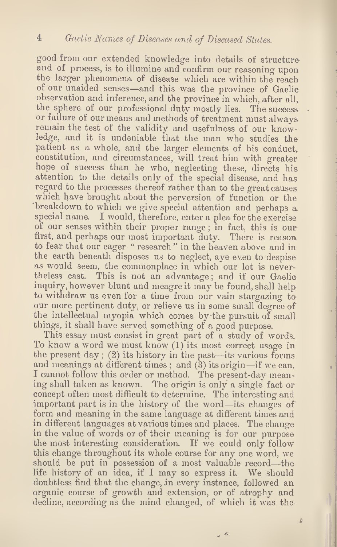good from our extended knowledge into details of structure and of process, is to illumine and confirm our reasoning upon the larger phenomena of disease which are within the reach of our unaided senses—and this was the province of Gaelic observation and inference, and the province in which, after all, the sphere of our professional duty mostly lies. The success or failure of our means and methods of treatment must always remain the test of the validity and usefulness of our knowledge, and it is undeniable that the man who studies the patient as a whole, and the larger elements of his conduct, constitution, and circumstances, will treat him with greater hope of success than he who, neglecting these, directs his attention to the details only of the special disease, and has regard to the processes thereof rather than to the great causes which have brought about the perversion of function or the breakdown to which we give special attention and perhaps a special name. I would, therefore, enter a plea for the exercise of our senses within their proper range; in fact, this is our first, and perhaps our most important duty. There is reason to fear that our eager " research " in the heaven above and in the earth beneath disposes us to neglect, aye even to despise as would seem, the commonplace in which our lot is nevertheless cast. This is not an advantage; and if our Gaelic inquiry, however blunt and meagre it may be found, shall help to withdraw us even for a time from our vain stargazing to our more pertinent duty, or relieve us in some small degree of the intellectual myopia which comes by the pursuit of small things, it shall have served something of a good purpose.

This essay must consist in great part of a study of words. To know a word we must know (1) its most correct usage in the present day; (2) its history in the past—its various forms and meanings at different times; and (3) its origin—if we can. I cannot follow this order or method. The present-day meaning shall taken as known. The origin is only a single fact or concept often most difficult to determine. The interesting and important part is in the history of the word—its changes of form and meaning in the same language at different times and in different languages at various times and places. The change in the value of words or of their meaning is for our purpose the most interesting consideration. If we could only follow this change throughout its whole course for any one word, we should be put in possession of a most valuable record—the life history of an idea, if I may so express it. We should doubtless find that the change, in every instance, followed an organic course of growth and extension, or of atrophy and decline, according as the mind changed, of which it was the

 $\Delta$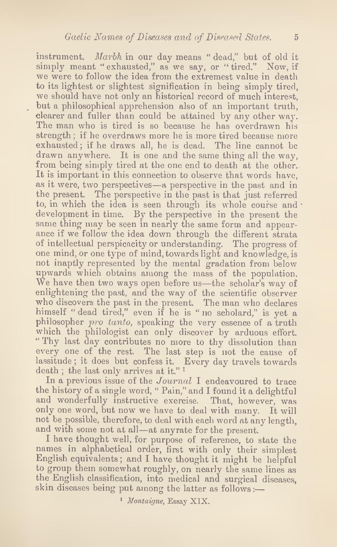instrument. Marbh in our day means "dead," but of old it simply meant "exhausted," as we say, or "tired." Now, if we were to follow the idea from the extremest value in death to its lightest or slightest signification in being simply tired, we should have not only an historical record of much interest, but a philosophical apprehension also of an important truth, clearer and fuller than could be attained by any other way. The man who is tired is so because he has overdrawn his strength; if he overdraws more he is more tired because more exhausted; if he draws all, he is dead. The line cannot be drawn anywhere. It is one and the same thing all the way, from being simply tired at the one end to death at the other. It is important in this connection to observe that words have, as it were, two perspectives—a perspective in the past and in the present. The perspective in the past is that just referred to, in which the idea is seen through its whole course and  $\cdot$ development in time. By the perspective in the present the same thing may be seen in nearly the same form and appearance if we follow the idea down through the different strata of intellectual perspicacity or understanding. The progress of one mind, or one type of mind, towards light and knowledge, is not inaptly represented by the mental gradation from below upwards which obtains among the mass of the population. We have then two ways open before us—the scholar's way of enlightening the past, and the way of the scientific observer who discovers the past in the present. The man who declares himself " dead tired," even if he is " no scholard," is yet a philosopher pro tanto, speaking the very essence of a truth which the philologist can only discover by arduous effort. " Thy last day contributes no more to thy dissolution than every one of the rest. The last step is not the cause of lassitude; it does but confess it. Every day travels towards death ; the last only arrives at it." <sup>1</sup>

In a previous issue of the *Journal* I endeavoured to trace the history of a single word, " Pain," and I found it a delightful and wonderfully instructive exercise. That, however, was only one word, but now we have to deal with many. It will not be possible, therefore, to deal with each word at any length, and with some not at all—at anyrate for the present.

I have thought well, for purpose of reference, to state the names in alphabetical order, first with only their simplest English equivalents; and I have thought it might be helpful to group them somewhat roughly, on nearly the same lines as the English classification, into medical and surgical diseases, skin diseases being put among the latter as follows:—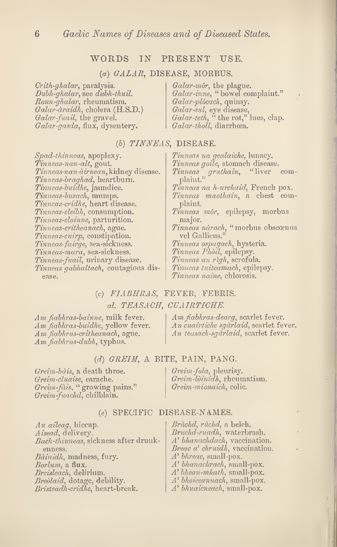#### WORDS IN PRESENT USE.

#### (a) GALAR, DISEASE, MORBUS.

 $Crith\text{-}ghalar$ , paralysis. Dubh-ghalar, see dubh-thuil. Ronn-ghalar, rheumatism. Galar-draidh, cholera (H.S.D.) Galar-fuail, the gravel. Galar-gasda, flux, dysentery.

 $Galar-m\acute{o}r$ , the plague. Galar-inne, " bowel complaint." Galar-plòcach, quinsy. Galar-sul, eye disease,  $Galar-teth$ , "the rot," lues, clap. Galar-tholl, diarrhoea.

#### (b) TINNEAS, DISEASE.

Spad-thinneas, apoplexy. Tinneas-nan-alt, gout. Tinneas-nan-dirnean, kidney disease. Tinneas-braghad, heartburn. Tinneas-buidhe, jaundice.  $\it{Trimes}$ -busach, mumps.  $\it{Timccas-cridhe}$ , heart disease. Tinneas-cleibh, consumption. Tinneas-cloinne, parturition. Tinneas-critheanach, ague. Tinneas-cuirp, constipation. Tinneas-fairge, sea-sickness. Tinneas-mara, sea-sickness. Tinneas-fuail, urinary disease. Tinneas gabhaltach, contagious disease.

Tinneas na gealaiche, lunacy. Tinneas goile, stomach disease.<br>Tinneas gruthain, "liver com-Tinneas gruthain, "liver complaint." Tinneas na h-urchaid, French pox. Tinneas maothain, a chest complaint. Tinneas mór, epilepsy, morbus major. Tinneas nàrach, "morbus obscœnus vel Gallicus." Tinneas ospagach, hysteria.  $\emph{Timeas Philo}$ i, epilepsy. Tinneas an righ, scrofula. Tinneas tuiteamach, epilepsy. Tinneas uaine, chlorosis.

### $(c)$  FLABHRAS, FEVER, FEBRIS. al. TEASACH, CUAIRTICHE.

Am fiabhras-bainne, milk fever. Am fiabhras-buidhe, yellow fever. Am *fiabhras-critheanach*, ague.  $Am$   $fabhras-dubh$ , typhus.

Am fiabhras-dearg, scarlet fever. A n cuairtiche sgdrlaid, scarlet fever. An teasach-sgdrlaid, scarlet fever.

#### $(d)$  GREIM, A BITE, PAIN, PANG.

Greim-bdis, a death throe. Greim-cluaise, earache. Greim-fdis, " growing pains." Greim-fuachd, chilblain.

(e) SPECIFIC DISEASE-NAMES.

An aileag, hiccup. Aisead, delivery. Bach-thinneas, sickness after drunkenness. Bdinidh, madness, fury. Barium, a flux. Breisleach, delirium. Breòlaid, dotage, debility. Bristeadh-cridhe, heart-break.

Bruchd, ruchd, a belch. Bruchd-ruadh, waterbrash. A' bhanachdach, vaccination. Breac a' chruidh, vaccination. A' bhreac, small-pox. A' bhanachrach, small-pox. A' bhean-mhath, small-pox. A' bhoiceannach, small-pox. A' bhuaicneach, small-pox.

Greim-fola, pleurisy. Greim-ldinidh, rheumatism. Greim-mionaich, colic.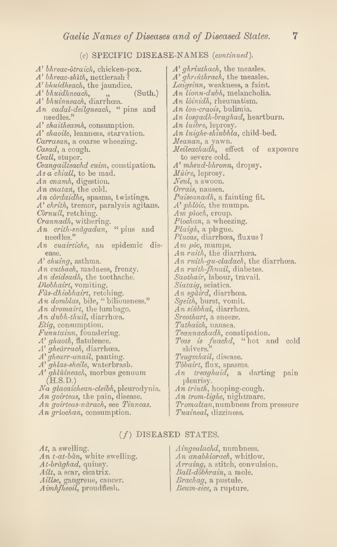#### (e) SPECIFIC DISEASE-NAMES (continued).

A' bkreac-dtraich, chicken-pox. A' bhreac-shith, nettlerash <sup>1</sup> A' bhuidheach, the jaundice.  $A'$  bhuidhneach,  $\qquad$ ,  $\qquad$  (Suth.)  $A'$  bhuinneach, diarrhœa. An cadal-deilgneach, " pins and needles." A' chaitheamh, consumption. A' chaoile, leanness, starvation. Carrasan, a coarse wheezing. Casad, a cough. Ceall, stupor. Ceangailteachd euim, constipation. As a chiall, to be mad. An cnamh, digestion. An cnatan, the cold. An còrdaidhe, spasms, twistings. A' chrith, tremor, paralysis agitans. Cornuil, retching. Crannadh, withering.  $\bm{An}\ \ \bm{crit}$  rith-snagadan, "  $\bm{{\rm pins}}\ \ \bm{{\rm and}}$ needles." An cuairtiche, an epidemic disease. A' chuing, asthma. An cuthach, madness, frenzy. An deideadh, the toothache. Diobhairt, vomiting. Fàs-dhiobhairt, retching. An domblas, bile, "biliousness." An dromairt, the lumbago. An dubh-thuil, diarrhoea. Etig, consumption. Funntainn, foundering. A' ghaoth, flatulence. A' ghedrrach, diarrhoea. A' ghearr-anail, panting. A' ghlas-sheile, waterbrash. A' ghlùineach, morbus genuum (H.S.D.) Na glacaichean-cleibh, pleurodynia. An goirteas, the pain, disease. An goirteas-ndrach, see Tinneas. An griochan, consumption.

At, a swelling. An  $t$ -at-bàn, white swelling. At-bràghad, quinsy. Ailt, a scar, cicatrix. Aillse, gangrene, cancer. Aimhfheoil, proudflesh.

A' ghriuthach, the measles.  $A' ghruithrach$ , the measles. Laigsinn, weakness, a faint. An lionn-dubh, melancholia. An lòinidh, rheumatism. An lon-craois, bulimia. An losgadh-braghad, heartburn. An luibre, leprosy. An luighe-skiubhla, child-bed. Meanan, a yawn.  $Meileachadh$ , effect of exposure to severe cold.  $A'$  mheud-bhronn, dropsy. Muire, leprosy. Neul, a swoon. Orrais, nausea. Paiseanadh, a fainting fit. A' phlòic, the mumps. Am pioch, croup. Piochan, a wheezing. Plaigh, a plague. Plucas, diarrhoea, fluxus ?  $Am$  pòc, mumps.  $\Lambda$ n ruith, the diarrhœa. An ruith-gu-cladach, the diarrhoea. An ruith-fhuail, diabetes. Saothair, labour, travail. Siataig, sciatica. An sgàird, diarrhœa. Sgeith, burst, vomit.  $\AA n$  siùbhal, diarrhœa. Sreothart, a sneeze. Tathaich, nausea. Teannachadh, constipation. Teas is fuachd, " hot and cold shivers." Teugmhail, disease. Tòbairt, flux, spasms. An treaghaid, a darting pain pleurisy. An triuth, hooping-cough. An trom-lighe, nightmare.  $\emph{Tromaltan},$  numbness from pressure

Tuaineal, dizziness.

#### $(f)$  DISEASED STATES.

Aingealachd, numbness. An anabhiorach, whitlow. Arraing, a stitch, convulsion. Ball-dobhrain, a mole. Brachag, a pustule. Beum-sice, a rupture.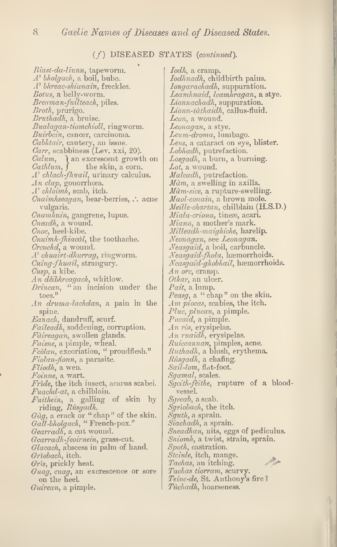#### $(f)$  DISEASED STATES (continued).

Biast-da-liunn, tapeworm. A' bholgach, a boil, bubo. A' bhreac-shianain, freckles. Botus, a belly-worm. Breaman-fuilteach, piles. Broth, prurigo. Bruthadh, a bruise. Bualagan-tiomchioll, ringworm. Buirbcin, cancer, carcinoma. Cabhtair, cautery, an issue. Carr, scabbiness (Lev. xxi, 20). *Calum*,  $\}$  an excrescent growth on *Cathlum*,  $\}$  the skin, a corn. the skin, a corn. A' chlach-fhuail, urinary calculus.  $An \;clap$ , gonorrhoea. A' chloimh, scab, itch.  $\emph{Cnaimhseagan}$ , bear-berries,  $\therefore$  acne vulgaris. Cnamhuin, gangrene, lupus. Cneadh, a wound. Cnoc, heel-kibe. Cnuimh-fhiacdl, the toothache. Creuchd, a wound. A' chuairt-dhurrag, ringworm. Cuing-fhuail, strangury. Cusp, a kibe. An déibhreagach, whitlow. Driucan, " an incision under the toes." An druma-lachdan, a pain in the spine. Eanach, dandruff, scurf. Faileadh, soddening, corruption. Fdireagan, swollen glands. Faisne, a pimple, wheal. Fcòlan, excoriation, " proudflesh." Fiolan-fionn, a parasite. Fliodh, a wen. Foinne, a wart. Fride, the itch insect, acarus scabei.  $Fuachd-at$ , a chilblain. Fuithein, a galling of skin by riding, Rùsgadh.  $G\dot{a}g$ , a crack or " chap" of the skin. Gall-bholgach, " French-pox." Gearradh, a cut wound. Gearradh-feoirnein, grass-cut. Glacach, abscess in palm of hand. Griobach, itch. Gris, prickly heat. Guag, cuag, an excrescence or sore on the heel. Guirean, a pimple.

Iodh, a cramp. Iodhnadh, childbirth pains. Iongarachadh, suppuration. Leamhnaid, lcamhragan, a stye. Lionnachadh, suppuration. Lionn-tdthaidh, callus-fluid. Lcon, a wound. Leonagan, a stye. Leum-droma, lumbago. Leus, a cataract on eye, blister. Lobhadh, putrefaction. Losgadh, a burn, a burning. Lot, a wound. Malcadh, putrefaction.  $M\dot{a}m$ , a swelling in axilla. Mam-sice, a rupture-swelling. Maol-conain, a brown mole. Meille-chartan, chilblain (H.S.D.) Miala-criona, tineæ, acari. Miann, a mother's mark. Milleadh-maighiche, harelip. Neonagan, see Leonagan. Neasgaid, a boil, carbuncle. Neasgaid-fhola, haemorrhoids. Neasgaid-ghobhail, haemorrhoids. An ore, cramp. Othar, an ulcer. Pait, a lump. Peasg, a "chap" on the skin. Am piocas, scabies, the itch. Plue, plucan, a pimple. Pucaid, a pimple. An ròs, erysipelas. An ruaidh, erysipelas. Ruiceannan, pimples, acne. Ruthadh, a blush, erythema. Rusgadh, a chafing. Sail-lom, flat-foot. Sgamal, scales. Sgeith-feithe, rupture of a bloodvessel. Sgreab, a scab. Sgrìobach, the itch. Sguth, a sprain. Siachadh, a sprain. Sneadhan, nits, eggs of pediculus. Sniomh, a twist, strain, sprain. Spoth, castration. Steinle, itch, mange. Tachas, an itching. Tachas tiorram, scurvy.  $\mathit{Teinc-de}_i$  St. Anthony's fire ? Tuchadh, hoarseness.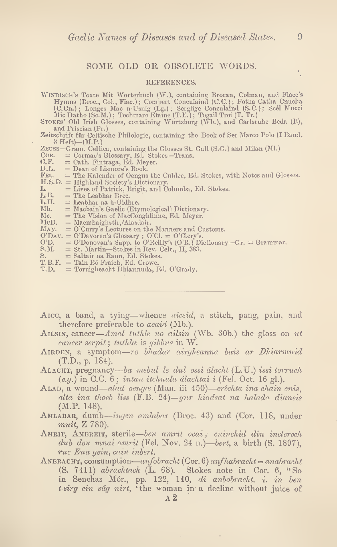#### SOME OLD OR OBSOLETE WORDS.

#### REFERENCES.

- WINDISCH's Texte Mit Worterbüch (W.), containing Brocan, Colman, and Fiace's<br>Hymns (Broc., Col., Fiac.); Compert Conculaind (C.C.); Fotha Catha Cnucha<br>(C.Cn.); Longes Mac n-Usnig (Lg.); Serglige Conculaind (S.C.); Scél Muc
- Stokes' Old Irish Glosses, containing Wurtzburg (\Vb.), and Carlsruhe Beda (B), and Priscian (Pr.)
- Zeitschrift fiir Celtische Philologie, containing the Book of Ser Marco Polo (I Band, 3 Heft)—(M.P.)
- ZEUSS—Gram. Celtica, containing the Glosses St. Gall (S.G.) and Milan (Ml.) COR. = Cormac's Glossary, Ed. Stokes—Trans.
- COR. = Cormac's Glossary, Ed. Stokes-Trans.<br>C.F. = Cath. Fintraga, Ed. Meyer.
- O.F-
- D.L. = Dean of Lismore's Book.<br>FEL. = The Kalender of Oengus
- = The Kalender of Oengus the Culdee, Ed. Stokes, with Notes and Glosses.
- H.S.D. = Highland Society's Dictionary.
- L. = Lives of Patrick, Brigit, and Columba, Ed. Stokes. L.  $=$  Lives of Patrick,  $L.B.$   $=$  The Leabhar Brec.<br>  $L.U.$   $=$  Leabhar na h-Uidl
- 
- L.U.  $=$  Leabhar na h-Uidhre.<br>Mb.  $=$  Macbain's Gaelic (Ety
- Mb.  $=$  Macbain's Gaelic (Etymological) Dictionary.<br>Mc.  $=$  The Vision of MacConghlinne, Ed. Meyer.
- Mc.  $=$  The Vision of MacConghlinne, Ed. Meyer.<br>McD.  $=$  Macmhaighstir, Alasdair.
- $=$  Macmhaighstir, Alasdair.
- MAN. = O'Curry's Lectures on the Manners and Customs.
- 
- O'Dav. = O'Davoren's Glossary ; O'Cl. = O'Clery's. O'D. = O'Donovan's Supp. to O'Reilly's (O'R.) Dictionary—Gr. = Grammar. S.M. = St. Martin—Stokes in Rev. Celt., II, 383. Mb. = Macbain's Gaelic (Etymological) Dictionary.<br>
Mc. = The Vision of MacConghlinne, Ed. Meyer.<br>
McD. = Macmhaighstri, /Alasdair.<br>
MAN. = O'Curry's Lectures on the Manners and Customs.<br>
O'DAV. = O'Davoren's Glossary ; O'C
- 
- S. = Saltair na Rann, Ed. Stokes.
- 
- T.D. = Toruigheacht Dhiarmuda, Ed. O'Grady.
- AICC, a band, a tying—whence *aiceid*, a stitch, pang, pain, and therefore preferable to *acaid* (Mb.).
- AILSIN, cancer—Amal tuthle no ailsin (Wb. 30b.) the gloss on  $ut$ cancer serpit; tuthle is gibbus in  $W$ .
- AIRDEN, a symptom—ro bhadar airgheanna bais ar Dhiarmuid (T.D., p. 184).
- ALACHT, pregnancy—ba mebul le dul ossi álacht (L.U.) issi torruch (e.y.) in C.C. 6; intan itchuala dlachtai i (Fel. Oct. 16 gl.).
- ALAD, a wound—alad oengæ (Man. iii 450)—créchta ina chain cnis, alta ina thoeb liss (F.B. 24)—gur hiadsat na halada dianeis (M.P. 148).
- AMLABAR, dumb—ingen amlabar (Broc. 43) and (Cor. 118, under muit, Z 780).
- AMRIT, AMBREIT, sterile—ben amrit ocai; cuinchid din inclerech dub don mnai amrit (Fel. Nov. 24 n.)—bert, a birth (S. 1897), rue Eua gein, cain inbert.
- ANBRACHT, consumption—anfobracht (Cor. 6) anfhabracht = anabracht (S. 7411) abrachtach (L. 68). Stokes note in Cor. 6, "So in Senchas M6r., pp. 122, 140, di anbobracht. i. in ben t-sirg cin súg nirt, 'the woman in a decline without juice of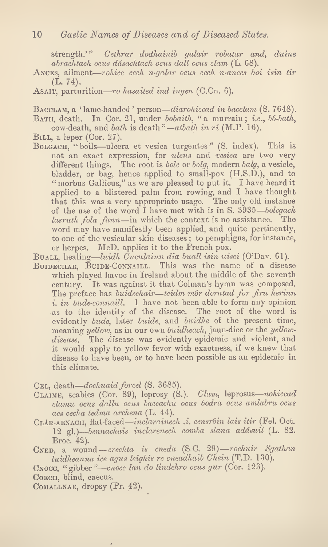strength.'" Cethrar dodhainib galair robatar and, duine abrachtach ocus ddsachtach ocus doll ocus clam (L. 08).

- Ances, ailment—rohicc cech n-qalar ocus cech n-ances boi isin tir  $(L. 74).$
- Asair, parturition—ro hasaited ind ingen (C.Cn. 6).

Bacclam, a 'lame-handed ' person—diarohiccad in bacclam (S. 7648). Bath, In Cor. 21, under bobaith, "a murrain; *i.e.*,  $b\delta$ -bath,

cow-death, and bath is death"—atbath in rí (M.P. 16).

- BILL, a leper (Cor. 27).
- Bolgach, "boils—ulcera et vesica turgentes" (S. index). This is not an exact expression, for ulcus and vesica are two very different things. The root is bolc or bolg, modern balg, a vesicle, bladder, or bag, hence applied to small-pox (H.S.D.), and to " morbus Gallicus," as we are pleased to put it. I have heard it applied to a blistered palm from rowing, and I have thought that this was a very appropriate usage. The only old instance of the use of the word I have met with is in S. 3935—bolcgach lasruth fola fann—in which the context is no assistance. The word may have manifestly been applied, and quite pertinently, to one of the vesicular skin diseases; to pemphigus, for instance, or herpes. McD. applies it to the French pox.
- Buall, healing—luidh  $\bar{C}$ uculainn dia buall isin uisci (O'Dav. 61).
- BUIDECHAR, BUIDE-CONNAILL. This was the name of a disease which played havoc in Ireland about the middle of the seventh century. It was against it that Colman's hymn was composed. The preface has buidechair—teidm mór doratad for firu herinn i. in bude-connaill. I have not been able to form any opinion as to the identity of the disease. The root of the word is evidently bude, later buide, and buidhe of the present time, meaning yellow, as in our own buidheach, jaun-dice or the yellowdisease. The disease was evidently epidemic and violent, and it would apply to yellow fever with exactness, if we knew that disease to have been, or to have been possible as an epidemic in this climate.

CEL, death—dochuaid forcel (S. 3685).

- CLAIME, scabies (Cor. 89), leprosy (S.). Clam, leprosus-nohiccad clamu ocus dallu ocus baccachu ocus bodra ocus amlabru ocus aes cecha tedma archena (L. 44).
- CLÁR-AENACH, flat-faced—inclarainech .i. censróin lais itir (Fel. Oct. 12 gl.)—bennachais inclarenech comba slana addsuil (L. 82. Broc. 42).
- Cned, a wound—crechta is cneda (S.C. 29)—rochuir Sgathan luidheanna ice agus leighis re cneadhaib Chein (T.D. 130).
- Cnocc, "gibber"—cnocc Ian do lindchro ocus gur (Cor. 123).

COECH. blind. caecus.

COMALLNAE, dropsy (Pr. 42).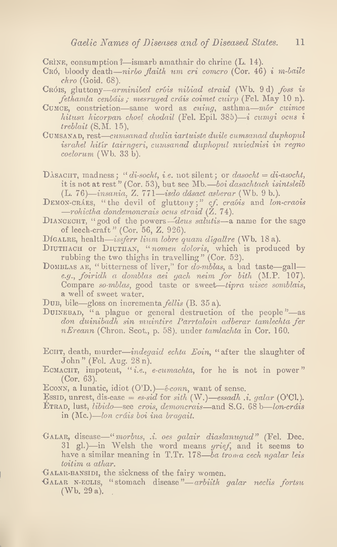CRINE, consumption *?*—ismarb amathair do chrine (L. 14).

- CRÓ, bloody death—nirbo flaith um cri comcro (Cor. 46) i m-baile chro (Goid. 68).
- CRÓIS, gluttony—arminibed cróis nibiad etraid (Wb. 9d) foss is fethamla cenbáis ; mesruged cráis coimet cuirp (Fel. May 10 n).
- CUMCE, constriction—same word as *cuing*, asthma— $m\acute{o}r$  *cuimce* hitusa hicorpan choel chodail (Fel. Epil. 385)—i cumgi ocus i treblait (S.M. 15),
- Cumsanad, rest—cumsanad dudia iartuiste duile cumsanad duphopul israhel hitir tairngeri, cumsanad duphopul nuiednisi in regno coelorum (Wb. 33 b).
- DASACHT, madness; "di-socht, i.e. not silent; or  $dasocht = di-asocht$ , it is not at rest" (Cor. 53), but see Mb.—boi dasachtach isintsleib (L. 76)—insania, Z. 771—isdo ddsact asberar (Wb. 9 b.).
- DEMON-CRÁES, "the devil of gluttony;" cf. craois and lon-craois —rohictha dondemoncrais ocus etraid (Z. 74).
- DIANCECHT, "god of the powers—deus salutis—a name for the sage of leech-craft" (Cor. 56, Z. 926).
- DIGALRE, health—issferr lium lobre quam digallre (Wb. 18 a).
- DIUTHACH or DIUTHAN, "nomen doloris, which is produced by rubbing the two thighs in travelling" (Cor. 52).
- DOMBLAS AE, "bitterness of liver," for do-mblas, a bad taste-galle.g., foiridh a domblas aei gach neim for bith (M.P. 107). Compare so-mblas, good taste or sweet—tipra uisce somblais, a well of sweet water.
- Dub, bile—gloss on incrementa fellis (B. 35 a).
- DUINEBAD, "a plague or general destruction of the people"—as don duinibadh sin muintire Parrtaloin adberar tamlechta fer nEreann (Chron. Scot., p. 58). under tamlachta in Cor. 160.
- ECHT, death, murder—indegaid echta Eoin, "after the slaughter of John" (Fel. Aug. 28n).
- ECMACHT, impotent, "i.e., e-cumachta, for he is not in power" (Cor. 63).
- ECONN, a lunatic, idiot  $(O'D.)$ — $éconn$ , want of sense.
- Essid, unrest, dis-ease = es-sid for sith (W.)—essadh .i. galar (O'Cl.).
- ETRAD, lust, libido—see crois, demoncrais—and S.G. 68 b—lon-cráis in (Me.)—Ion crdis boi ina bragait.
- Galar, disease—"morbus, ,i. oes galair diaslanugud" (Fel. Dec. 31 gl.)—in Welsh the word means grief, and it seems to have a similar meaning in T.Tr. 178—ba troma cech ngalar leis toitim a athar.

GALAR-BANSIDI, the sickness of the fairy women.

Galar n-eclis, "stomach disease"—arbiith galar neclis fortsu (Wb. 29 a).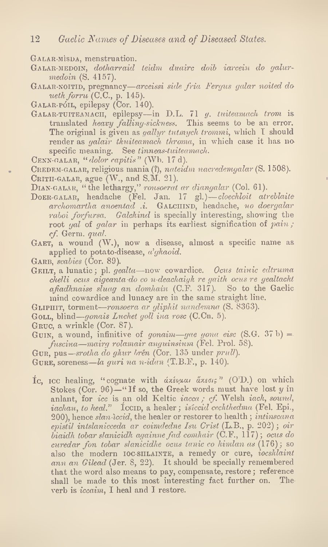GALAR MISDA, menstruation.

- GALAR-MEDOIN, dotharraid teidm duairc doib iarcein do galurmedoin (S. 4157).
- Galar-noitid, pregnancy—arceissi side fria Fergus galar noited da ueth forru  $(C.C., p. 145)$ .

GALAR-PÓIL, epilepsy (Cor. 140).

- GALAR-TUITEAMACH, epilepsy—in D.L. 71 g. tuiteamach trom is translated *heavy falling-sickness*. This seems to be an error. The original is given as *qallyr tutmych trommi*, which I should render as *yalair thuiteamach throma*, in which case it has no specific meaning. See tinneas-tuiteamach.
- Cenn-GALAR, "dolor capitis" (Wb. 17 d).

CREDEM-GALAR, religious mania (?), nateidm nacredemgalar (S. 1508). CRITH-GALAR, ague  $(W, \text{ and } S.M. 21)$ .

DIAN-GALAR, "the lethargy," ronsoerat ar diangalar (Col. 61).

- Doer-galar, headache (Fel. Jan. 17 gl.)—cloechloit atrehlaite archomartha anoentad .i. GALCHIND, headache, no doergalar rahoi forfursa. Galchind is specially interesting, showing the root gal of galar in perhaps its earliest signification of pain; cf. Germ. qual.
- GAET, a wound (W.), now a disease, almost a specific name as applied to potato-disease,  $\alpha'$ *ghaoid*.
- GARB, scabies (Cor. 89).
- GEILT, a lunatic; pl. gealta—now cowardice. Ocus tainic edtruma chelli ocus aigeanta do co n-deachaigh re gaith ocus re gealtacht afiadhnaise sluag an domhain  $(C.F. 317)$ . So to the Gaelic mind cowardice and lunacy are in the same straight line.

GLIPHIT, torment—ronsoera ar gliphit nandemna (S. 8363).

- GOLL, blind—gonais Luchet goll in a rose  $(C.Cn. 5)$ .
- Gruc, a wrinkle (Cor. 87).
- GUIN, a wound, infinitive of gonaim—gae gona eisc  $(S, G, 37 b) =$ fuscina—mairg rolamair anguinsium (Fel. Pro). 58).

Gur, pus—srotha do ghur brén (Cor. 135 under prull).

GURE, soreness—la guri na n-idan  $(T.B.F., p. 140)$ .

Ic, Icc healing, "cognate with  $\alpha \times \alpha \rightarrow \alpha \times \beta$ " (O'D.) on which Stokes (Cor. 96)—"If so, the Greek words must have lost  $y$  in anlant, for icc is an old Keltic iacca; cf. Welsh iach, sound, iachau, to heal."  $\Gamma$  Iccip, a healer; isiccid cechthedma (Fel. Epi., 200), hence slan iccid, the healer or restorer to health; intinscana epistil intslanicceda ar coimdedne Isu Crist (L.B., p. 202); oir  $biaidh$  tobar slanicidh againne fad comhair  $(C.F., 117)$ ; ocus do curedar fon tobar slanicidhe ocus tanic co himlan as (176); so also the modern  $IOCSIILAINTE$ , a remedy or cure,  $iocslulaint$ ann an Gilead (Jer. 8, 22). It should be specially remembered that the word also means to pay, compensate, restore; reference shall be made to this most interesting fact further on. The verb is iccaim, I heal and I restore.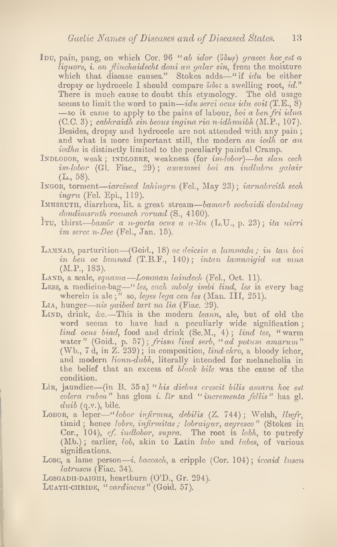- Ibu, pain, pang, on which Cor. 96 "ab idor ( $\theta \omega$ ) graece hoc est a  $liq$ uore, i. on fliuchaidecht doni an galar sin, from the moisture which that disease causes." Stokes adds—"if  $idu$  be either dropsy or hydrocele I should compare  $\ddot{\theta}$  a swelling root, id." There is much cause to doubt this etymology. The old usage seems to limit the word to pain—idu serci ocus idu eoit  $(T.E., 8)$ —so it came to apply to the pains of labour, boi a ben fri idna (C.C. 3) ; cabhraidh sin beous ingina ria n-idhnuibh (M.P., 107). Besides, dropsy and hydrocele are not attended with any pain; and what is more important still, the modern an iodh or an iodha is distinctly limited to the peculiarly painful Cramp.
- INDLOBOR, weak; INDLOBRE, weakness (for im-lobor)—ba slan cech im-lobor (Gl. Fiac., 29); amummi boi an indlubra galair  $(L., 58).$
- INGOR, torment—iarcesad lahingru (Fel., May 23); iarnabreith sech ingru (Fel. Epi., 119).
- IMMSRUTII, diarrhoea, lit. a great stream—bamarb sochaidi dontsluag dondimsruth roenach roruad (S., 4160).
- Itu, thirst—bambr a n-gorta ocus a n-itu (L.U., p. 23); ita uirri  $im\;error\; n\text{-}Dec\;$  (Fel., Jan. 15).
- LAMNAD, parturition—(Goid., 18) oc deicsin a lamnada; in tan boi in ben oc lamnad (T.B.F., 140); intan lamnaigid na mna (M.P., 183).
- LAND, a scale, squama—Lomman laindech (Fel., Oct. 11).
- Less, a medicine-bag—" les, cach mboly imbi lind, les is every bag wherein is ale;" so, leges lega cen les (Man. III, 251).
- Lia, hunger—nis gaibed tart na lia (Fiac. 29).
- LIND, drink, &c.-This is the modern leann, ale, but of old the word seems to have had a peculiarly wide signification;  $lind$  ocus biad, food and drink  $(Sc.M., '4)$ ; lind tee, "warm water" (Goid., p. 57); frissa lind serb, "ad potum amarum" (Wb., 7 d, in  $Z. 239$ ); in composition, *lind chro*, a bloody ichor, and modern *lionn-dubh*, literally intended for melancholia in the belief that an excess of black bile was the cause of the condition.
- Lin, jaundice—(in B. 35 a) "his diebus crescit bilis amara hoc est colera rubea" has gloss *i*. Iir and "incrementa fellis" has gl.  $duib$  (q.v.), bile.
- LOBOR, a leper—"lobor infirmus, debilis (Z. 744); Welsh, llwfr, timid; hence *lobre*, *infirmitas; lobraigur*, *aegresco*" (Stokes in Cor., 104), cf. *indlobor*, *supra*. The root is *lobh*, to putrefy (Mb.); earlier, *lob*, akin to Latin *labo* and *labes*, of various significations.
- Losc, a lame person—*i. baccach*, a cripple  $(Cor. 104)$ ; *iccaid luscu* latruscu (Fiac. 34).

 $\bar{z}$ 

- Losgadu-daight, heartburn (O'D., Gr. 294).
- LUATH-CHRIDE, "cardiacus" (Goid. 57).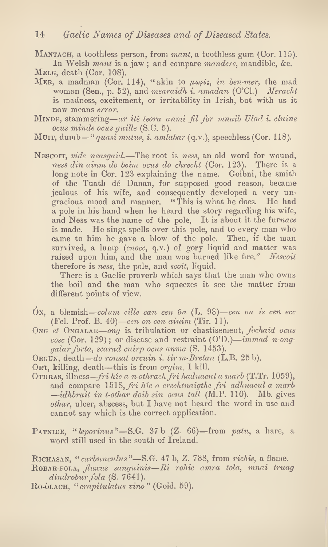MANTACH, a toothless person, from mant, a toothless gum (Cor. 115).

In Welsh mant is a jaw; and compare mandere, mandible, &c. MELG, death (Cor. 108).

- MER, a madman (Cor. 114), "akin to  $\mu\omega\rho\delta\varsigma$ , in ben-mer, the mad woman (Sen., p. 52), and mearaidh i. amadan (O'Cl.) Meracht is madness, excitement, or irritability in Irish, but with us it now means error.
- MINDE, stammering—ar ité teora anmi fil for mnaib Ulad i. chine ocus minde ocus guille (S.C. 5).
- Muit, dumb—"quasi mutus, i. amlabar  $(q.v.)$ , speechless (Cor. 118).
- Nescoit, vide neasgaid.—The root is ness, an old word for wound, ness din ainm do beim ocus do chrecht (Cor. 123). There is a long note in Cor. 123 explaining the name. Goibni, the smith of the Tuath de Danan, for supposed good reason, became jealous of his wife, and consequently developed a very ungracious mood and manner. " This is what he does. He had a pole in his hand when he heard the story regarding his wife, and Ness was the name of the pole, It is about it the furnace is made. He sings spells over this pole, and to every man who came to him he gave a blow of the pole. Then, if the man survived, a lump  $(\text{cnoc}, q.v.)$  of gory liquid and matter was raised upon him, and the man was burned like fire." Nescoit therefore is ness, the pole, and scoit, liquid.

There is a Gaelic proverb which says that the man who owns the boil and the man who squeezes it see the matter from different points of view.

- On, a blemish—colum cille can cen on  $(L. 98)$ —cen on is cen ecc (Fel. Prof. B. 40)—cen on cen ainim (Tir. 11).
- ONG et ONGALAR—ong is tribulation or chastisement, fochaid ocus cosc (Cor. 129); or disease and restraint  $(O'D.) - *immad* n-*ong*$ galar forta, scarad cuirp ocus anma (S. 1453).
- Orgun, death—do ronsat orcuin i. tir m-Bretan (L.B. 25 b).
- ORT, killing, death—this is from *orgim*, I kill.
- OTHRAS, illness—fri híc a n-othrach fri hadnacul a marb (T.Tr. 1059), and compare 1518, fri híc a crechtnaigthe fri adhnacul a marb —idhbrait in t-othar doib sin ocus tall (M.P. 110). Mb. gives othar, ulcer, abscess, but I have not heard the word in use and cannot say which is the correct application.
- PATNIDE, " $leporinus$ "-S.G. 37 b  $(Z. 66)$ -from patu, a hare, a word still used in the south of Ireland.

RICHASAN, " carbunculus"—S.G. 47 b, Z. 788, from richis, a flame.

- $R$ OBAR-FOLA, fluxus sanguinis— $R$ i rohic amra tola, mnai truag dindrobur fola  $(S. 7641)$ .
- Ro-OLACH, "crapitulatus vino" (Goid. 59).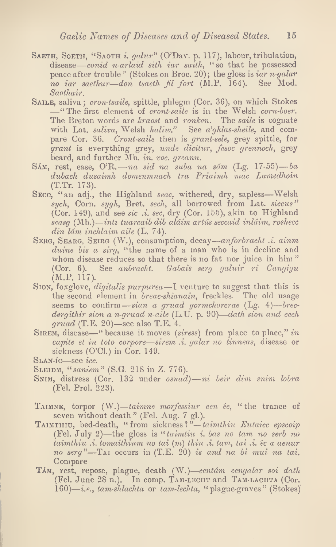- SAETH, SOETH, "SAOTH *i. galur*" (O'Dav. p. 117), labour, tribulation, disease—conid n-arlaid sith iar saith, " so that he possessed peace after trouble " (Stokes on Broc. 20); the gloss is iar n-galar no iar saethur—don tsaeth fil fort (M.P. 164). See Mod. Saothair.
- SAILE, saliva; cron-tsaile, spittle, phlegm (Cor. 36), on which Stokes —"The first element of cront-saile is in the Welsh corn-boer. The Breton words are kraost and ronken. The saile is cognate with Lat. saliva, Welsh haliw." See  $a'ghlas-sheile$ , and compare Cor. 36. Cront-saile then is grant-sele, grey spittle, for grant is everything grey, unde dicitur, fesoc grennoch, grey beard, and further Mb. in. voc. greann.
- SAM, rest, ease, O'R. na sid na suba na sám (Lg. 17-55) ba dubach dusaimh domenmnach tra Priaimh mac Lamedhoin (T.Tr. 173).
- SECC, "an adj., the Highland seac, withered, dry, sapless—Welsh  $sych$ , Corn,  $sygh$ , Bret,  $sech$ , all borrowed from Lat.  $siccus$ " (Cor. 149), and see sic .i. sec, dry (Cor. 155), akin to Highland seasg (Mb.)—inti tuarcaib dib aldim artiis seccaid inldim, roshecc din 1dm inchlaim aile (L. 74).
- SERG, SEARG, SEIRG (W.), consumption, decay—anforbracht .i. ainm duine bis a sirg, "the name of a man who is in decline and whom disease reduces so that there is no fat nor juice in him" (Cor. 6). See anbracht. Gabais serg galuir ri Cangigu (M.P. 117).
- Sion, foxglove, *digitalis purpurea*—I venture to suggest that this is the second element in *breac-shianain*, freckles. The old usage seems to confirm—sian a gruad gormchorcrae  $(Lg. 4)$ —brecdergithir sion a n-gruad n-aile  $(L.U. p. 90)$ —dath sion and cech  $\mathit{grad}$  (T.E. 20)—see also T.E. 4.
- SIREM, disease—" because it moves (siress) from place to place," in capile et in toto corpore—sirem .i. galar no tinneas, disease or sickness (O'Cl.) in Cor. 149.

SLEIDM, "saniem" (S.G. 218 in Z. 776).

÷,

- SNIM, distress (Cor. 132 under osnad)—ni beir dim snim lobra (Eel. Prol. 223).
- TAIMNE, torpor  $(W)$ —taimne morfessiur cen éc, "the trance of seven without death" (Fel. Aug. 7 gl.).
- TAIMTHIU, bed-death, "from sickness?"—taimthiu Eutaicc epscoip (Eel. July 2)—the gloss is "• taimtiu i. bas no tam no Serb no  $t$ aimthiu  $\ldots$  tomaithium no tai  $(m)$  thiu  $\ldots$  tam, tai  $\ldots$  ec a aenur no serg"—TAI occurs in  $(T.E. 20)$  is and na bi mui na tai. Compare
- TAM, rest, repose, plague, death (W.)-centám cenyalar soi dath (Fel. June 28 n.). In comp. TAM-LECHT and TAM-LACHTA (Cor.  $160$ )—*i.e.*, tam-shlachta or tam-lechta, "plague-graves" (Stokes)

Slan-ic—see icc.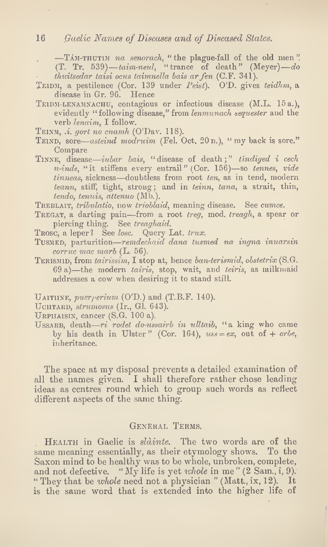#### 16 Gaelic Names of Diseases and of Diseased States.

 $-TAM-THUTIM$  na senorach, " the plague-fall of the old men". (T. Tr. 539)—taim-neul, "trance of death" (Meyer)—do thuitsedar taisi ocus taimnella bais arfen (C.F. 341).

- TEIDM, a pestilence (Cor. 139 under  $Peist$ ). O'D. gives teidhm, a disease in Gr. 96. Hence
- TEIDM-LENAMNACHU, contagious or infectious disease (M.L. 15 a.), evidently "following disease," from lenmunach sequester and the verb lenaim, I follow.
- TEINM, .i. gort no cnamh (O'Dav. 118).
- TEIND, sore—asteind modruim (Fel. Oct.  $20 \text{ n}$ .), " my back is sore." Compare
- TINNE, disease—iubar bais, "disease of death;" tindiged  $i$  cech n-inde, "it stiffens every entrail" (Cor. 156)—so tennes, vide tinneas, sickness—doubtless from root ten, as in tend, modern teann, stiff, tight, strong; and in teinn, tana, a strait, thin, tendo, tenuis, attenuo (Mb.).

TREBLAIT, tribulatio, now trioblaid, meaning disease. See cumce.

- TREGAT, a darting pain—from a root treg, mod. treagh, a spear or piercing thing. See treaghaid.
- Trosc, a leper? See losc. Query Lat. trux.
- Tusmed, parturition—remdechaid dana tusmed na ingna inuarsin  $corruc$  mac marb  $(L. 56)$ .
- TERISMID, from tairissim, I stop at, hence ban-terismid, obstetrix (S.G.  $69 a$ )—the modern *tairis*, stop, wait, and *teiris*, as milkmaid addresses a cow when desiring it to stand still.

UAITHINE, *puer perium* (O'D.) and (T.B.F. 140).

UCHTARD, strumosus (Ir., Gl. 643).

URPHAISIN, cancer  $(S.G. 100 a)$ .

USSARB, death—ri rodet do-ussairb in ulltaib, "a king who came by his death in Ulster" (Cor. 164),  $uss = ex$ , out of + orbe, inheritance.

The space at my disposal prevents a detailed examination of all the names given. I shall therefore rather chose leading ideas as centres round which to group such words as reflect different aspects of the same thing.

#### General Terms.

Health in Gaelic is sldinte. The two words are of the same meaning essentially, as their etymology shows. To the Saxon mind to be healthy was to be whole, unbroken, complete, and not defective. "My life is yet whole in me" (2 Sam., i, 9). " They that be whole need not a physician " (Matt., ix, 12). It is the same word that is extended into the higher life of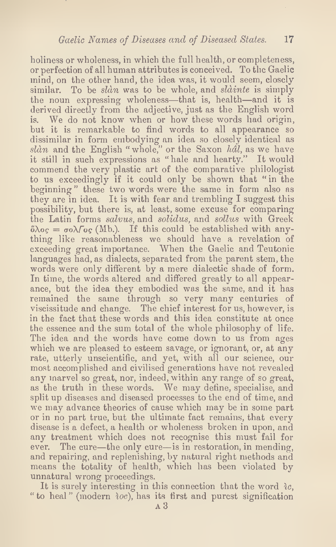holiness or wholeness, in which the full health, or completeness, or perfection of all human attributes is conceived. To the Gaelic mind, on the other hand, the idea was, it would seem, closely similar. To be slan was to be whole, and slainte is simply the noun expressing wholeness—that is, health—and it is derived directly from the adjective, just as the English word is. We do not know when or how these words liad origin, but it is remarkable to find words to all appearance so dissimilar in form embodying an idea so closely identical as slàn and the English "whole," or the Saxon  $hdl$ , as we have it still in such expressions as "hale and hearty." It would commend the very plastic art of the comparative philologist to us exceedingly if it could only be shown that " in the beginning" these two words were the same in form also as they are in idea. It is with fear and trembling I suggest this possibility, but there is, at least, some excuse for comparing the Latin forms salvus, and solidus, and sollus with Greek  $\delta\lambda o_{\mathcal{S}} = \sigma o \lambda \delta o_{\mathcal{S}}$  (Mb.). If this could be established with anything like reasonableness we should have a revelation of exceeding great importance. When the Gaelic and Teutonic languages had, as dialects, separated from the parent stem, the words were only different by a mere dialectic shade of form. In time, the words altered and differed greatly to all appearance, but the idea they embodied was the same, and it has remained the same through so very many centuries of viscissitude and change. The chief interest for us, however, is in the fact that these words and this idea constitute at once the essence and the sum total of the whole philosophy of life. The idea and the words have come down to us from ages which we are pleased to esteem savage, or ignorant, or, at any rate, utterly unscientific, and yet, with all our science, our most accomplished and civilised generations have not revealed any marvel so great, nor, indeed, within any range of so great, as the truth in these words. We may define, specialise, and split up diseases and diseased processes to the end of time, and we may advance theories of cause which may be in some part or in no part true, but the ultimate fact remains, that every disease is a defect, a health or wholeness broken in upon, and any treatment which does not recognise this must fail for ever. The cure—the only cure—is in restoration, in mending, and repairing, and replenishing, by natural right methods and means the totality of health, which has been violated by unnatural wrong proceedings.

It is surely interesting in this connection that the word  $ic$ , " to heal" (modern  $\partial c$ ), has its first and purest signification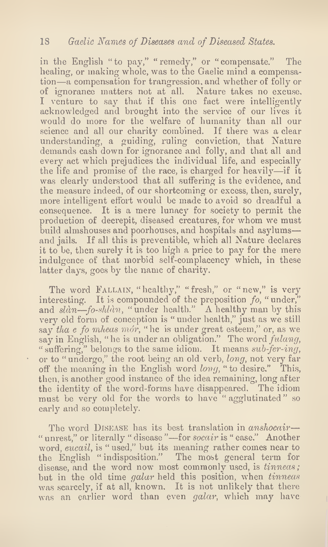in the English "to pay," "remedy," or "compensate." The healing, or making whole, was to the Gaelic mind a compensation—a compensation for trangression, and whether of folly or of ignorance matters not at all. Nature takes no excuse. I venture to say that if this one fact were intelligently acknowledged and brought into the service of our lives it would do more for the welfare of humanity than all our science and all our charity combined. If there was a clear understanding, a guiding, ruling conviction, that Nature demands cash down for ignorance and folly, and that all and every act which prejudices the individual life, and especially the life and promise of the race, is charged for heavily—if it was clearly understood that all suffering is the evidence, and the measure indeed, of our shortcoming or excess, then, surely, more intelligent effort would be made to avoid so dreadful a consequence. It is a mere lunacy for society to permit the production of decrepit, diseased creatures, for whom we must build almshouses and poorhouses, and hospitals and asylums and jails. If all this is preventible, which all Nature declares it to be, then surely it is too high a price to pay for the mere indulgence of that morbid self-complacency which, in these latter days, goes by the name of charity.

The word FALLAIN, "healthy," "fresh," or "new," is very interesting. It is compounded of the preposition  $fo$ , "under," and  $sl\`{a}n$ -fo-shlàn, "under health." A healthy man by this very old form of conception is " under health," just as we still say tha e fo mheas mór, " he is under great esteem," or, as we say in English, "he is under an obligation." The word fulang, " suffering," belongs to the same idiom. It means sub-fer-ing, or to " undergo," the root being an old verb, long, not very far off the meaning in the English word  $long$ , " to desire." This, then, is another good instance of the idea remaining, long after the identity of the word-forms have disappeared. The idiom must be very old for the words to have " agglutinated " so early and so completely.

The word DISEASE has its best translation in *anshocair*— " unrest," or literally " disease "—for socair is " ease." Another word, eucail, is " used," but its meaning rather comes near to the English " indisposition." The most general term for disease, and the word now most commonly used, is *tinneas*; but in the old time galar held this position, when tinneas was scarcely, if at all, known. It is not unlikely that there was an earlier word than even galar, which may have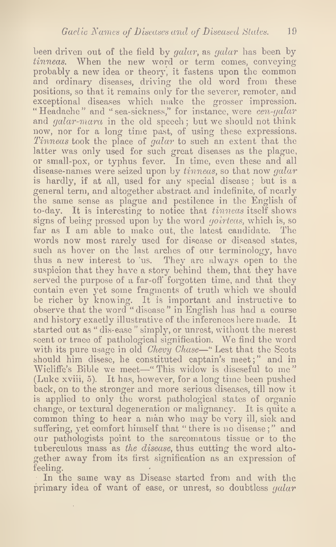been driven out of the field by *galar*, as *galar* has been by tinneas. When the new word or term comes, conveying probably a new idea or theory, it fastens upon the common and ordinary diseases, driving the old word from these positions, so that it remains only for the severer, remoter, and exceptional diseases which make the grosser impression. "Headache" and " sea-sickness," for instance, were *cen-galar* and *galar-mara* in the old speech; but we should not think now, nor for a long time past, of using these expressions. Tinneas took the place of galar to such an extent that the latter was only used for such great diseases as the plague, or small-pox, or typhus fever. In time, even these and all disease-names were seized upon by tinneas, so that now galar is hardly, if at all, used for any special disease ; but is a general term, and altogether abstract and indefinite, of nearly the same sense as plague and pestilence in the English of to-day. It is interesting to notice that *tinneas* itself shows signs of being pressed upon by the word *goirteas*, which is, so far as I am able to make out, the latest candidate. The words now most rarely used for disease or diseased states, such as hover on the last arches of our terminology, have thus a new interest to us. They are always open to the suspicion that they have a story behind them, that they have served the purpose of a far-off forgotten time, and that they contain even yet some fragments of truth which we should be richer by knowing. It is important and instructive to observe that the word " disease " in English has had a course and history exactly illustrative of the inferences here made. It started out as " dis-ease " simply, or unrest, without the merest seent or trace of pathological signification. We find the word with its pure usage in old *Chevy Chase*—" Lest that the Scots should him disese, he constituted captain's meet; " and in Wicliffe's Bible we meet—"This widow is diseseful to me" (Luke xviii, 5). It has, however, for a long time been pushed back, on to the stronger and more serious diseases, till now it is applied to only the worst pathological states of organic change, or textural degeneration or malignancy. It is quite a common thing to hear a man who may be very ill, siek and suffering, yet comfort himself that "there is no disease;" and our pathologists point to the sarcomatous tissue or to the tuberculous mass as the disease, thus cutting the word altogether away from its first signification as an expression of feeling.

In the same way as Disease started from and with the primary idea of want of ease, or unrest, so doubtless  $qalar$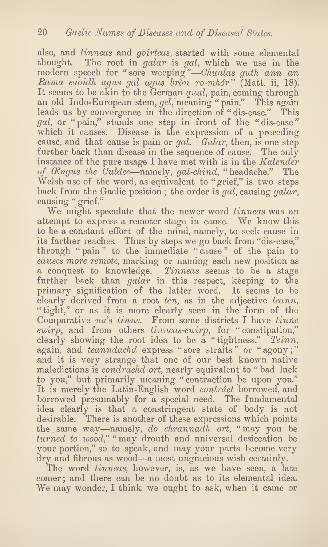also, and *tinneas* and *goirteas*, started with some elemental thought. The root in galar is gal, which we use in the modern speech for "sore weeping"—Chualas guth ann an Rama caoidh agus gal agus bròn ro-mhór" (Matt. ii, 18). It seems to be akin to the German qual, pain, coming through an old Indo-European stem,  $gel$ , meaning "pain." This again leads us by convergence in the direction of " dis-ease." This gal, or "pain," stands one step in front of the "dis-ease" which it causes. Disease is the expression of a preceding cause, and that cause is pain or gal.  $Galar$ , then, is one step further back than disease in the sequence of cause. The only instance of the pure usage I have met with is in the Kalender of  $\mathcal{C}$ ngus the  $\mathcal{C}$ uldee—namely, gal-chind, " headache." The Welsh use of the word, as equivalent to "grief," is two steps back from the Gaelic position; the order is gal, causing galar, causing " grief."

We might speculate that the newer word tinneas was an attempt to express a remoter stage in cause. We know this to be a constant effort of the mind, namely, to seek cause in its farther reaches. Thus by steps we go back from "dis-ease," through "pain" to the immediate "cause" of the pain to causes more remote, marking or naming each new position as a conquest to knowledge. Tinneas seems to be a stage further back than galar in this respect, keeping to the primary signification of the latter word. It seems to be clearly derived from a root ten, as in the adjective teann, "tight," or as it is more clearly seen in the form of the Comparative  $na's$  tinne. From some districts I have tinne cuirp, and from others tinneas-cuirp, for " constipation," clearly showing the root idea to be a "tightness." Teinn, again, and teanndachd express "sore straits" or "agony;" and it is very strange that one of our best known native maledictions is *condrachd ort*, nearly equivalent to "bad luck to you," but primarily meaning "contraction be upon you." It is merely the Latin-English word contract borrowed, and borrowed presumably for a special need. The fundamental idea clearly is that a constringent state of body is not desirable. There is another of these expressions which points the same way—namely, do chrannadh ort, "may you be turned to wood," "may drouth and universal desiccation be your portion," so to speak, and may your parts become very dry and fibrous as wood—a most ungracious wish certainly.

The word *tinneas*, however, is, as we have seen, a late comer; and there can be no doubt as to its elemental idea. We may wonder, I think we ought to ask, when it came or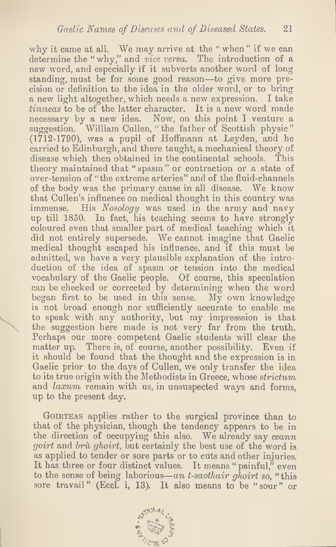why it came at all. We may arrive at the " when" if we can determine the "why," and vice versa. The introduction of a new word, and especially if it subverts another word of long standing, must be for some good reason—to give more precision or definition to the idea in the older word, or to bring a new light altogether, which needs a new expression. I take tinneas to be of the latter character. It is a new word made necessary by a new idea. Now, on this point I venture a suggestion. William Cullen, " the father of Scottish physic " (1712-1790), was a pupil of Hoffmann at Leyden, and he carried to Edinburgh, and there taught, a mechanical theory of disease which then obtained in the continental schools. This theory maintained that " spasm " or contraction or a state of over-tension of "the extreme arteries" and of the fluid-channels of the body was the primary cause in all disease. We know that Cullen's influence on medical thought in this country was immense. His  $Nosology$  was used in the army and navy His Nosology was used in the army and navy up till 1850. In fact, his teaching seems to have strongly coloured even that smaller part of medical teaching which it did not entirely supersede. We cannot imagine that Gaelic medical thought escaped his influence, and if this must be admitted, we have a very plausible explanation of the introduction of the idea of spasm or tension into the medical vocabulary of the Gaelic people. Of course, this speculation can be checked or corrected by determining when the word began first to be used in this sense. My own knowledge is not broad enough nor sufficiently accurate to enable me to speak with any authority, but my impresssion is that the suggestion here made is not very far from the truth. Perhaps our more competent Gaelic students will clear the matter up. There is, of course, another possibility. Even if it should be found that the thought and the expression is in Gaelic prior to the days of Cullen, we only transfer the idea to its true origin with the Methodists in Greece, whose strictum and laxum remain with us, in unsuspected ways and forms, up to the present day.

GOIRTEAS applies rather to the surgical province than to that of the physician, though the tendency appears to be in the direction of occupying this also. We already say ceann goirt and bru ghoirt, but certainly the best use of the word is as applied to tender or sore parts or to cuts and other injuries. It has three or four distinct values. It means "painful," even to the sense of being laborious—an t-saothair ghoirt so, "this sore travail" (Eccl. i, 13). It also means to be "sour" or

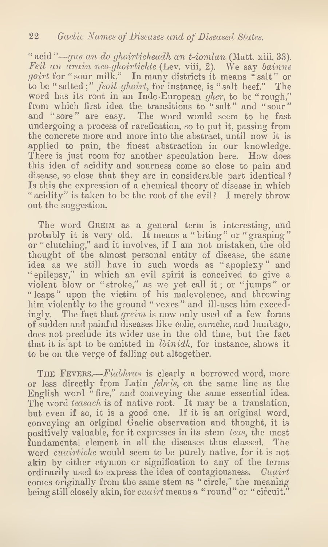" acid "— $gus$  an do ghoirticheadh an t-iomlan (Matt, xiii, 33). Feil an arain neo-ghoirtichte (Lev. viii, 2). We say bainne goirt for "sour milk." In many districts it means "salt" or to be "salted;" feoil ghoirt, for instance, is "salt beef." The word has its root in an Indo-European gher, to be " rough," from which first idea the transitions to "salt" and "sour" and " sore " are easy. The word would seem to be fast undergoing a process of rarefication, so to put it, passing from the concrete more and more into the abstract, until now it is applied to pain, the finest abstraction in our knowledge. There is just room for another speculation here. How does this idea of acidity and sourness come so close to pain and disease, so close that they are in considerable part identical ? Is this the expression of a chemical theory of disease in which " acidity" is taken to be the root of the evil? I merely throw out the suggestion.

The word GREIM as a general term is interesting, and probably it is very old. It means a "biting" or "grasping" or " clutching," and it involves, if I am not mistaken, the old thought of the almost personal entity of disease, the same idea as we still have in such words as "apoplexy" and "epilepsy," in which an evil spirit is conceived to give a violent blow or "stroke," as we yet call it; or "jumps" or " leaps" upon the victim of his malevolence, and throwing him violently to the ground "vexes" and ill-uses him exceedingly. The fact that greim is now only used of a few forms of sudden and painful diseases like colic, earache, and lumbago, does not preclude its wider use in the old time, but the fact that it is apt to be omitted in  $\delta$ *inidh*, for instance, shows it to be on the verge of falling out altogether.

THE FEVERS.—Fiabhras is clearly a borrowed word, more or less directly from Latin febris, on the same line as the English word "fire," and conveying the same essential idea. The word teasach is of native root. It may be a translation, but even if so, it is a good one. If it is an original word, conveying an original Gaelic observation and thought, it is positively valuable, for it expresses in its stem teas, the most fundamental element in all the diseases thus classed. The word *cuairtiche* would seem to be purely native, for it is not akin by either etymon or signification to any of the terms ordinarily used to express the idea of contagiousness. Cuairt comes originally from the same stem as " circle," the meaning being still closely akin, for *cuairt* means a "round" or " circuit."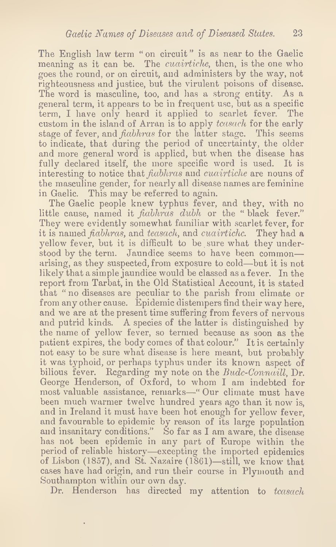The English law term " on circuit " is as near to the Gaelic meaning as it can be. The *cuairtiche*, then, is the one who goes the round, or on circuit, and administers by the way, not righteousness and justice, but the virulent poisons of disease. The word is masculine, too, and has a strong entity. As a general term, it appears to be in frequent use, but as a specific term, I have only heard it applied to scarlet fever. The custom in the island of Arran is to apply *teasach* for the early stage of fever, and *fiabhras* for the latter stage. This seems to indicate, that during the period of uncertainty, the older and more general word is applied, but when the disease has fully declared itself, the more specific word is used. It is interesting to notice that *fiabhras* and *cuairtiche* are nouns of the masculine gender, for nearly all disease names are feminine in Gaelic. This may be referred to again.

The Gaelic people knew typhus fever, and they, with no little cause, named it *fiabhras dubh* or the " black fever." They were evidently somewhat familiar with scarlet fever, for it is named *fiabhras*, and teasach, and cuairtiche. They had a yellow fever, but it is difficult to be sure what they understood by the term. Jaundice seems to have been common arising, as they suspected, from exposure to cold—but it is not likely that a simple jaundice would be classed as a fever. In the report from Tarbat, in the Old Statistical Account, it is stated that " no diseases are peculiar to the parish from climate or from any other cause. Epidemic distempers find their way here, and we are at the present time suffering from fevers of nervous and putrid kinds. A species of the latter is distinguished by the name of yellow fever, so termed because as soon as the patient expires, the body comes of that colour." It is certainly not easy to be sure what disease is here meant, but probably it was typhoid, or perhaps typhus under its known aspect of bilious fever. Regarding my note on the Budc-Connaill, Dr. George Henderson, of Oxford, to whom I am indebted for most valuable assistance, remarks—" Our climate must have been much warmer twelve hundred years ago than it now is, and in Ireland it must have been hot enough for yellow fever, and favourable to epidemic by reason of its large population and insanitary conditions." So far as I am aware, the disease has not been epidemic in any part of Europe within the period of reliable history—excepting the imported epidemics of Lisbon (1857), and St. Nazaire (1861)—still, we know that cases have had origin, and run their course in Plymouth and Southampton within our own day.

Dr. Henderson has directed my attention to teasach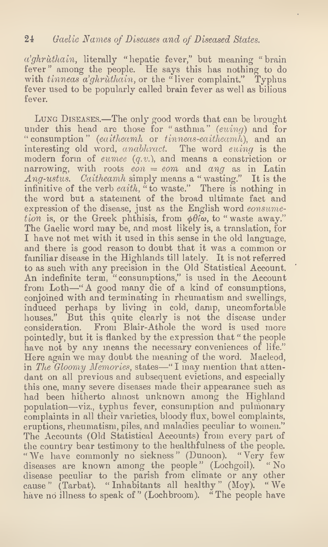$a'ghrùthain$ , literally "hepatic fever," but meaning " brain fever" among the people. He says this has nothing to do with tinneas a'ghrùthain, or the "liver complaint." Typhus fever used to be popularly called brain fever as well as bilious fever.

Lung Diseases.—The only good words that can be brought under this head are those for "asthma"  $(euing)$  and for " consumption" (eaitheamh or tinneas-eaitheamh), and an interesting old word, anabhract. The word euing is the modern form of eumee  $(q, v)$ , and means a constriction or narrowing, with roots  $\hat{e} \cdot \hat{n} = e \cdot \hat{e} \cdot \hat{n}$  and  $\hat{e} \cdot \hat{n} = \hat{e} \cdot \hat{n}$ Ang-ustus. Caitheamh simply means a " wasting." It is the infinitive of the verb eaith,  $\ddot{a}$  to waste." There is nothing in the word but a statement of the broad ultimate fact and expression of the disease, just as the English word consumetion is, or the Greek phthisis, from  $\phi \theta$  *to*, to "waste away." The Gaelic word may be, and most likely is, a translation, for I have not met with it used in this sense in the old language, and there is good reason to doubt that it was a common or familiar disease in the Highlands till lately. It is not referred to as such with any precision in the Old Statistical Account. An indefinite term, "consumptions," is used in the Account from Loth—" A good many die of a kind of consumptions, conjoined with and terminating in rheumatism and swellings, induced perhaps by living in cold, damp, uncomfortable houses." But this quite clearly is not the disease under consideration. From Blair-Athole the word is used more pointedly, but it is flanked by the expression that "the people have not by any means the necessary conveniences of life." Here again we may doubt the meaning of the word. Macleod, in The Gloomy Memories, states—" I may mention that attendant on all previous and subsequent evictions, and especially this one, many severe diseases made their appearance such as had been hitherto almost unknown among the Highland population—viz., typhus fever, consumption and pulmonary complaints in all their varieties, bloody flux, bowel complaints, eruptions, rheumatism, piles, and maladies peculiar to women." The Accounts (Old Statistical Accounts) from every part of the country bear testimony to the healthfulness of the people. "We have commonly no sickness" (Dunoon). "Very few diseases are known among the people" (Lochgoil). "No disease peculiar to the parish from climate or any other cause " (Tarbat). " Inhabitants all healthy " (Moy). " We have no illness to speak of " (Lochbroom). "The people have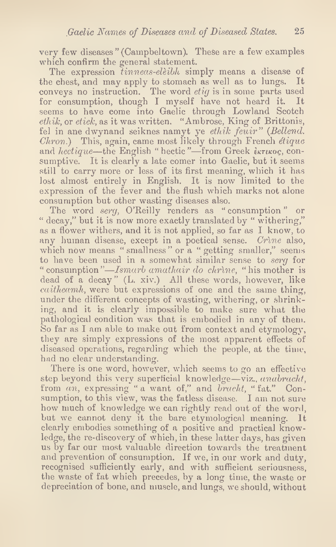very few diseases " (Campbeltown). These are a few examples which confirm the general statement.

The expression tinneas-eleibh simply means a disease of the chest, and may apply to stomach as well as to lungs. It conveys no instruction. The word *etig* is in some parts used for consumption, though I myself have not heard it. It seems to have come into Gaelic through Lowland Scotch  $\ell hik$ , or  $\ell i\epsilon k$ , as it was written. "Ambrose, King of Brittonis, fel in ane dwynand seiknes namyt ye ethik feuir" (Bellend.  $Chron.$ ) This, again, came most likely through French *étique* and hectique—the English "hectic"—from Greek tkrikoc, consumptive. It is clearly a late comer into Gaelic, but it seems still to carry more or less of its first meaning, which it has lost almost entirely in English. It is now limited to the expression of the fever and the flush which marks not alone consumption but other wasting diseases also.

The word serg, O'Reilly renders as "consumption" or " decay," but it is now more exactly translated by "withering," as a flower withers, and it is not applied, so far as I know, to any human disease, except in a poetical sense. Crine also, which now means " smallness" or a " getting smaller," seems to have been used in a somewhat similar sense to *serg* for " consumption"—Ismarb amathair do chrine, "his mother is dead of a decay" (L. xiv.) All these words, however, like *caitheamh*, were but expressions of one and the same thing, under the different concepts of wasting, withering, or shrinking, and it is clearly impossible to make sure what the pathological condition was that is embodied in any of them. So far as I am able to make out from context and etymology, they are simply expressions of the most apparent effects of diseased operations, regarding which the people, at the time, had no clear understanding.

There is one word, however, which seems to go an effective step beyond this very superficial knowledge—viz., anabracht, from an, expressing " a want of," and bracht, "fat." Consumption, to this view, was the fatless disease. I am not sure how much of knowledge we can rightly read out of the word, but we cannot deny it the bare etymological meaning. It clearly embodies something of a positive and practical knowledge, the re-discovery of which, in these latter days, has given us by far our most valuable direction towards the treatment and prevention of consumption. If we, in our work and duty, recognised sufficiently early, and with sufficient seriousness, the waste of fat which precedes, by a long time, the waste or depreciation of bone, and muscle, and lungs, we should, without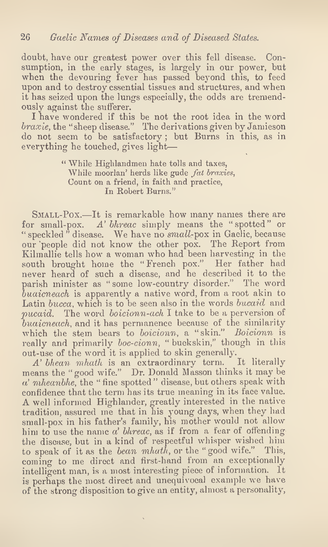doubt, have our greatest power over this fell disease. Consumption, in the early stages, is largely in our power, but when the devouring fever has passed beyond this, to feed upon and to destroy essential tissues and structures, and when it has seized upon the lungs especially, the odds are tremendously against the sufferer.

I have wondered if this be not the root idea in the word braxie, the "sheep disease." The derivations given by Jamieson do not seem to be satisfactory; but Burns in this, as in everything he touched, gives light—

> " While Highlandmen hate tolls and taxes, While moorlan' herds like gude fat braxies, Count on a friend, in faith and practice, In Robert Burns."

SMALL-Pox.—It is remarkable how many names there are for small-pox. A' bhreac simply means the "spotted" or " speckled " disease. We have no small-pox in Gaelic, because our people did not know the other pox. The Report from Kilmallie tells how a woman who had been harvesting in the south brought home the "French pox." Her father had never heard of such a disease, and he described it to the parish minister as " some low-country disorder." The word buaicneach is apparently a native word, from a root akin to Latin bucca, which is to be seen also in the words bucaid and *pucaid.* The word *boicionn-ach* I take to be a perversion of  $\hat{b}u \hat{a}i \hat{c} \hat{b}$  and it has permanence because of the similarity which the stein bears to boicionn, a "skin." Boicionn is really and primarily *boc-cionn*, "buckskin," though in this out-use of the word it is applied to skin generally.<br>A' bhean mhath is an extraordinary term. It literally

 $A'$  bhean mhath is an extraordinary term. means the "good wife." Dr. Donald Masson thinks it may be  $a'$  mheanbhe, the "fine spotted" disease, but others speak with confidence that the term has its true meaning in its face value. A well informed Highlander, greatly interested in the native tradition, assured me that in his young days, when they had small-pox in his father's family, his mother would not allow him to use the name  $a'$  bhreac, as if from a fear of offending the disease, but in a kind of respectful whisper wished him to speak of it as the bean mhath, or the "good wife." This, coming to me direct and first-hand from an exceptionally intelligent man, is a most interesting piece of information. It is perhaps the most direct and unequivocal example we have of the strong disposition to give an entity, almost a personality,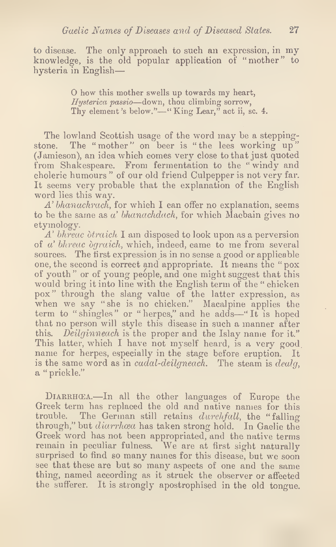to disease. The only approach to such an expression, in my knowledge, is the old popular application of "mother" to hysteria in English—

> O how this mother swells up towards my heart, Hysterica passio—down, thou climbing sorrow, Thy element's below."—"King Lear," act ii, sc. 4.

The lowland Scottish usage of the word may be a steppingstone. The "mother" on beer is "the lees working up" (Jamieson), an idea which comes very close to that just quoted from Shakespeare. From fermentation to the "windy and choleric humours " of our old friend Culpepper is not very far. It seems very probable that the explanation of the English word lies this way.

 $A'$  bhanachrach, for which I can offer no explanation, seems to be the same as  $a'$  bhanachdach, for which Macbain gives no etymology.

 $\Lambda$ ' bhreac òtraich I am disposed to look upon as a perversion of  $a'$  bhreac degraich, which, indeed, came to me from several sources. The first expression is in no sense a good or applicable one, the second is correct and appropriate. It means the " pox of youth" or of young people, and one might suggest that this would bring itinto line with the English term of the " chicken pox" through the slang value of the latter expression, as when we say "she is no chicken." Macalpine applies the term to "shingles" or "herpes," and he adds—"It is hoped that no person will style this disease in such a manner after this. Deilginneach is the proper and the Islay name for it." This latter, which I have not myself heard, is a very good name for herpes, especially in the stage before eruption. It is the same word as in *cudal-deilgneach*. The steam is  $deulq$ , a " prickle."

DIARRHCEA.—In all the other languages of Europe the Greek term has replaced the old and native names for this trouble. The German still retains durchfall, the "falling through," but *diarrhoea* has taken strong hold. In Gaelic the Greek word has not been appropriated, and the native terms remain in peculiar fulness. We are at first sight naturally surprised to find so many names for this disease, but we soon see that these are but so many aspects of one and the same thing, named according as it struck the observer or affected the sufferer. It is strongly apostrophised in the old tongue.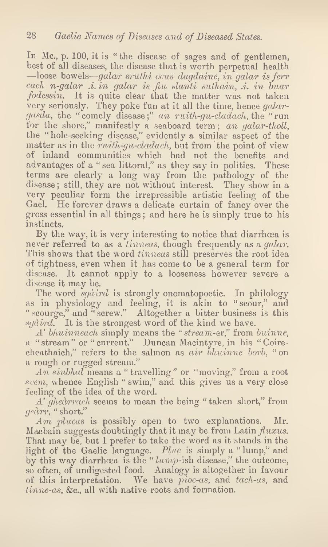In Mc., p. 100, it is "the disease of sages and of gentlemen, best of all diseases, the disease that is worth perpetual health —loose bowels—galar sruthi ocus dagdaine, in galar is ferr each n-galar .i. in galar is fiu slanti suthain, .i. in buar fodessin. It is quite clear that the matter was not taken very seriously. They poke fun at it all the time, hence galargasda, the "comely disease;" an ruith-gu-cladach, the "run for the shore," manifestly a seaboard term; an galar-tholl, the "hole-seeking disease," evidently a similar aspect of the matter as in the ruith-gu-cladach, but from the point of view of inland communities which had not the benefits and advantages of a " sea littoral," as they say in politics. These terms are clearly a long way from the pathology of the disease; still, they are not without interest. They show in a very peculiar form the irrepressible artistic feeling of the Gael. He forever draws a delicate curtain of fancy over the gross essential in all things; and here he is simply true to his instincts.

By the way, it is very interesting to notice that diarrhoea is never referred to as a tinneas, though frequently as a galar. This shows that the word *tinneas* still preserves the root idea of tightness, even when it has come to be a general term for disease. It cannot apply to a looseness however severe a disease it may be.

The word *sgàird* is strongly onomatopoetic. In philology as in physiology and feeling, it is akin to " scour," and " scourge," and " screw." Altogether a bitter business is this sydird. It is the strongest word of the kind we have.

A' bhuinneach simply means the "stream-er," from buinne, a " stream " or " current." Duncan Macintyre, in his "Coirecheathaich," refers to the salmon as air bhuinne borb, "on a rough or rugged stream."

 $An \*siubhal* means a "travelling" or "moving," from a root$ svem, whence English " swim," and this gives us a very close feeling of the idea of the word.

A' ghedrrach seems to mean the being " taken short," from gedrr, "short."

Am plucas is possibly open to two explanations. Mr. Macbain suggests doubtingly that it may be from Latin  $fluxus$ . That may be, but I prefer to take the word as it stands in the light of the Gaelic language. Pluc is simply a "lump," and by this way diarrhoea is the " $lump$ -ish disease," the outcome, so often, of undigested food. Analogy is altogether in favour of this interpretation. We have  $p$ ioc-as, and tach-as, and tinne-as, &c., all with native roots and formation.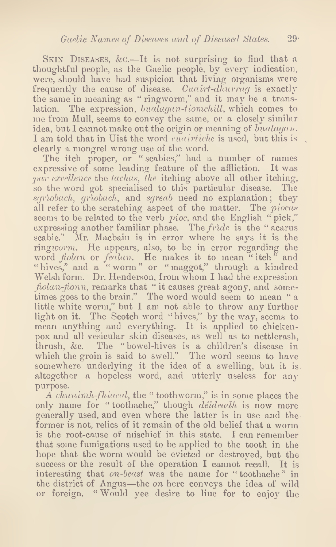SKIN DISEASES, & C.—It is not surprising to find that a thoughtful people, as the Gaelic people, by every indication, were, should have had suspicion that living organisms were frequently the cause of disease. Cuairt-dhurray is exactly the same in meaning as " ringworm," and it may be a translation. The expression, bualagan-tiomchill, which comes to me from Mull, seems to convey the same, or a closely similar idea, but I cannot make out the origin or meaning of bualagan. I am told that in Uist the word cuarriche is used, but this is clearly a mongrel wrong use of the word.

The itch proper, or " scabies," had a number of names expressive of some leading feature of the affliction. It was par excellence the tachas, the itching above all other itching, so the word got specialised to this particular disease. The  $sgrìobach$ ,  $grìobach$ , and  $sgred$  need no explanation; they all refer to the scratching aspect of the matter. The *piocas* seems to be related to the verb *pioc*, and the English "pick," expressing another familiar phase. The  $fride$  is the "acarus scabie." Mr. Macbain is in error where he says it is the ringworm. He appears, also, to be in error regarding the word *fiolan* or *fealan*. He makes it to mean "itch" and " hives," and a " worm " or " maggot," through a kindred Welsh form. Dr. Henderson, from whom I had the expression  $f<sub>tolan</sub>-f<sub>ionn</sub>$ , remarks that " it causes great agony, and sometimes goes to the brain." The word would seem to mean "a little white worm," but I am not able to throw any further light on it. The Scotch word "hives," by the way, seems to mean anything and everything. It is applied to chickenpox and all vesicular skin diseases, as well as to nettlerash, thrush, &c. The "bowel-hives is a children's disease in which the groin is said to swell." The word seems to have somewhere underlying it the idea of a swelling, but it is altogether a hopeless word, and utterly useless for any purpose.

A chnuimh-fhiacal, the " toothworm," is in some places the only name for "toothache," though déideadh is now more generally used, and even where the latter is in use and the former is not, relics of it remain of the old belief that a worm is the root-cause of mischief in this state. I can remember that some fumigations used to be applied to the tooth in the hope that the worm would be evicted or destroyed, but the success or the result of the operation I cannot recall. It is interesting that on-beast was the name for "toothache" in the district of Angus—the on here conveys the idea of wild or foreign. "Would yee desire to liue for to enjoy the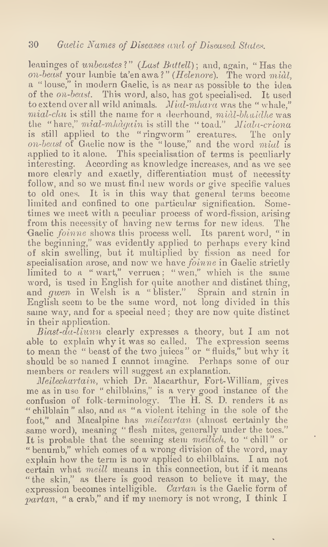leauinges of unbeastes?" (Last Battell); and, again, "Has the on-beast your lambie ta'en awa ?" (Helenore). The word midi, a " louse," in modern Gaelic, is as near as possible to the idea of the on-beast. This word, also, has got specialised. It used to extend over all wild animals. Mial-mhara was the "whale,"  $mial-clu$  is still the name for a deerhound,  $mial-blu$ idhe was the "hare," mial-mhdgain is still the "toad." Miala-criona is still applied to the "ringworm" creatures. The only on-beast of Gaelic now is the "louse," and the word mial is applied to it alone. This specialisation of terms is peculiarly interesting. According as knowledge increases, and as we see more clearly and exactly, differentiation must of necessity follow, and so we must find new words or give specific values to old ones. It is in this way that general terms become limited and confined to one particular signification. Sometimes we meet with a peculiar process of word-fission, arising from this necessity of having new terms for new ideas. The Gaelic *foinne* shows this process well. Its parent word, "in the beginning," was evidently applied to perhaps every kind of skin swelling, but it multiplied by fission as need for specialisation arose, and now we have *foinne* in Gaelic strictly limited to a "wart," verruca; "wen," which is the same word, is used in English for quite another and distinct thing, and *gwen* in Welsh is a "blister." Sprain and strain in English seem to be the same word, not long divided in this same way, and for a special need; they are now quite distinct in their application.

Biast-da-liunn clearly expresses a theory, but I am not able to explain why it was so called. The expression seems to mean the " beast of the two juices" or "fluids," but why it should be so named I cannot imagine. Perhaps some of our members or readers will suggest an explanation.

Meilechartain, which Dr. Macarthur, Fort-William, gives me as in use for "chilblains," is a very good instance of the confusion of folk-terminology. The H. S. D. renders it as "chilblain" also, and as "a violent itching in the sole of the foot," and Macalpine has *meileartan* (almost certainly the same word), meaning "flesh mites, generally under the toes." It is probable that the seeming stem *meilich*, to "chill" or " benumb," which comes of a wrong division of the word, may explain how the term is now applied to chilblains. I am not certain what meill means in this connection, but if it means " the skin," as there is good reason to believe it may, the expression becomes intelligible. Cartan is the Gaelic form of partan, " a crab," and if my memory is not wrong, I think I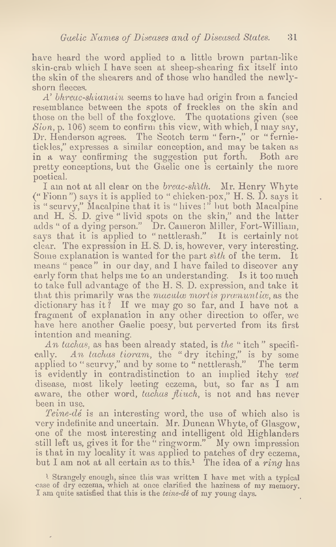have heard the word applied to a little brown partan-like skin-crab which I have seen at sheep-shearing fix itself into the skin of the shearers and of those who handled the newlyshorn fleeces.

A' bhreac-shianain seems to have had origin from a fancied resemblance between the spots of freckles on the skin and those on the bell of the foxglove. The quotations given (see  $Sion$ , p. 106) seem to confirm this view, with which, I may say, Dr. Henderson agrees. The Scotch term " fern-," or " fernietickles," expresses a similar conception, and may be taken as in a way confirming the suggestion put forth. Both are pretty conceptions, but the Gaelic one is certainly the more poetical.

I am not at all clear on the breac-shith. Mr. Henry Whyte (" Fionn ") says it is applied to " chicken-pox," H. S. D. says it is "scurvy," Macalpine that it is "hives!" but both Macalpine and H. S. D. give "livid spots on the skin," and the latter adds " of a dying person." Dr. Cameron Miller, Fort-William, says that it is applied to " nettlerash." It is certainly not clear. The expression in H. S. D. is, however, very interesting. Some explanation is wanted for the part sith of the term. It means " peace" in our day, and I have failed to discover any early form that helps me to an understanding. Is it too much to take full advantage of the H. S. D. expression, and take it that this primarily was the macula mortis pranuntiae, as the dictionary has it ? If we may go so far, and I have not a fragment of explanation in any other direction to offer, we have here another Gaelic poesy, but perverted from its first intention and meaning.

An tachas, as has been already stated, is the "itch" specifically. An tachas tioram, the "dry itching," is by some applied to "scurvy," and by some to "nettlerash." The term is evidently in contradistinction to an implied itchy wet disease, most likely leeting eczema, but, so far as I am aware, the other word, tachas fliuch, is not and has never been in use.

Teine- $d\acute{e}$  is an interesting word, the use of which also is very indefinite and uncertain. Mr. Duncan Whyte, of Glasgow, one of the most interesting and intelligent old Highlanders still left us, gives it for the "ringworm." My own impression is that in my locality it was applied to patches of dry eczema, but I am not at all certain as to this.<sup>1</sup> The idea of a ring has

<sup>1</sup> Strangely enough, since this was written I have met with a typical case of dry eczema, which at once clarified the haziness of my memory. I am quite satisfied that this is the teine-de of my young days.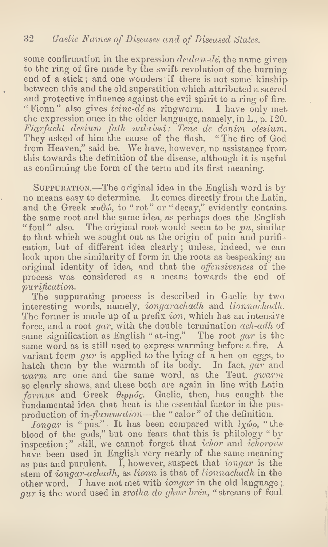some confirmation in the expression  $dealan-d\acute{e}$ , the name given to the ring of fire made by the swift revolution of the burning end of a stick; and one wonders if there is not some kinship between this and the old superstition which attributed a sacred and protective influence against the evil spirit to a ring of fire. " Fionn" also gives teinc-de as ringworm. I have only met the expression once in the older language, namely, in L., p. 120. Fiarfacht desium fath nalaissi: Tene de donim olesium. They asked of him the cause of the flash. " The tire of God from Heaven," said he. We have, however, no assistance from this towards the definition of the disease, although it is useful as confirming the form of the term and its first meaning.

Suppuration.—The original idea in the English word is by no means easy to determine. It comes directly from the Latin, and the Greek  $\pi v \theta \omega$ , to " rot" or " decay," evidently contains the same root and the same idea, as perhaps does the English " foul " also. The original root would seem to be  $pu$ , similar to that which we sought out as the origin of pain and purification, but of different idea clearly; unless, indeed, we can look upon the similarity of form in the roots as bespeaking an original identity of idea, and that the *offensiveness* of the process was considered as a means towards the end of purification.

The suppurating process is described in Gaelic by two interesting words, namely, iongarachadh and lionnachadh. The former is made up of a prefix  $\imath$ on, which has an intensive force, and a root gar, with the double termination ach-adh of same signification as English "at-ing." The root gar is the same word as is still used to express warming before a fire. A variant form  $gur$  is applied to the lying of a hen on eggs, to hatch them by the warmth of its body. In fact, gar and warm are one and the same word, as the Teut. gwarm so clearly shows, and these both are again in line with Latin  $formus$  and Greek  $\theta$ ερμός. Gaelic, then, has caught the fundamental idea that heat is the essential factor in the pusproduction of in-*flammation*—the "calor" of the definition.

*longar* is "pus." It has been compared with  $i_X \omega_{\rho}$ , "the blood of the gods," but one fears that this is philology " by inspection;" still, we cannot forget that ichor and ichorous have been used in English very nearly of the same meaning as pus and purulent. I, however, suspect that *iongar* is the stem of *iongar-achadh*, as *lionn* is that of *lionnachadh* in the other word. I have not met with iongar in the old language ;  $gur$  is the word used in srotha do ghur brén, " streams of foul.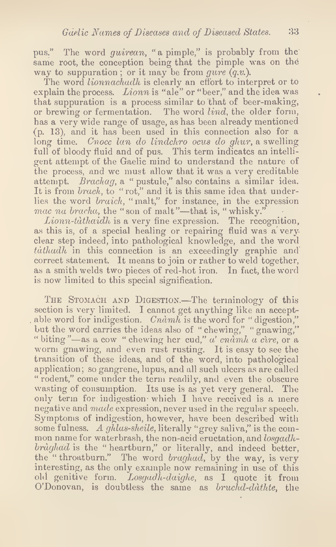pus." The word *guirean*, "a pimple," is probably from the same root, the conception being that the pimple was on the way to suppuration; or it may be from gure  $(q.v.)$ .

The word *lionnachadh* is clearly an effort to interpret or to explain the process. Lionn is "ale" or "beer," and the idea was that suppuration is a process similar to that of beer-making, or brewing or fermentation. The word lind, the older form, has a very wide range of usage, as has been already mentioned (p. 13), and it has been used in this connection also for a long time. Cnocc lan do lindchro ocus do ghur, a swelling full of bloody fluid and of pus. This term indicates an intelligent attempt of the Gaelic mind to understand the nature of the process, and we must allow that it was a very creditable attempt. Brachag, a " pustule," also contains a similar idea. It is from brack, to "rot," and it is this same idea that underlies the word braich, " malt," for instance, in the expression mac na bracha, the "son of malt"—that is, "whisky."

 $Lionn$ -tàthaidh is a very fine expression. The recognition, as this is, of a special healing or repairing fluid was a veryclear step indeed, into pathological knowledge, and the word  $t\dot{a}$ thadh in this connection is an exceedingly graphic and correct statement. It means to join or rather to weld together, as a smith welds two pieces of red-hot iron. In fact, the word is now limited to this special signification.

THE STOMACH AND DIGESTION.—The terminology of this section is very limited. I cannot get anything like an acceptable word for indigestion. Cnamble is the word for "digestion," but the word carries the ideas also of "chewing," "gnawing," " biting "—as a cow " chewing her cud,"  $a'$  cnamble  $a$  cire, or a worm gnawing, and even rust rusting. It is easy to see the transition of these ideas, and of the word, into pathological application; so gangrene, lupus, and all such ulcers as are called " rodent," come under the term readily, and even the obscure wasting of consumption. Its use is as yet very general. The only term for indigestion which I have received is a mere negative and *made* expression, never used in the regular speech. Symptoms of indigestion, however, have been described with some fulness. A ghlas-sheile, literally "grey saliva," is the common name for waterbrash, the non-acid eructation, and losgadhbràghad is the "heartburn," or literally, and indeed better, the "throatburn." The word braghad, by the way, is very interesting, as the only example now remaining in use of this old genitive form. Losgadh-daighe, as I quote it from O'Donovan, is doubtless the same as *bruchd-dàthte*, the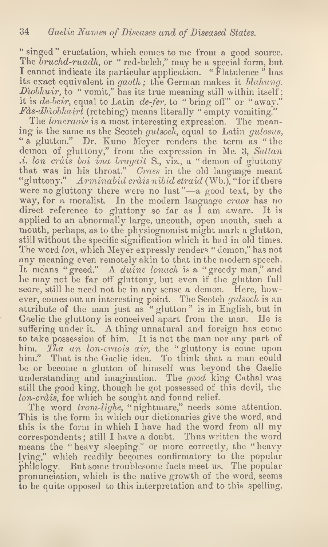" singed" eructation, which comes to me from a good source. The *bruchd-ruadh*, or " red-belch," may be a special form, but I cannot indicate its particular application. " Flatulence " has its exact equivalent in gaoth; the German makes it blahung. Diobhuir, to "vomit," has its true meaning still within itself; it is  $de\text{-}beir$ , equal to Latin  $de\text{-}fer$ , to " bring off" or "away."  ${\it F\!a}$ s-dhì $obhairt$  (retching) means literally " empty vomiting."

The loncraois is a most interesting expression. The meaning is the same as the Scotch *gulsoch*, equal to Latin *gulosus*, " a glutton." Dr. Kuno Meyer renders the term as " the demon of gluttony," from the expression in Me. 3, Sattan  $\therefore$  i. lon cràis boi ina bragait S., viz., a " demon of gluttony that was in his throat." Craes in the old language meant "gluttony." Arminabid cràis nibid etraid (Wb.), "for if there were no gluttony there were no lust"—a good text, by the way, for a moralist. In the modern language craos has no direct reference to gluttony so far as  $\tilde{I}$  am aware. It is applied to an abnormally large, uncouth, open mouth, such a mouth, perhaps, as to the physiognomist might mark a glutton, still without the specific signification which it had in old times. The word lon, which Meyer expressly renders "demon," has not any meaning even remotely akin to that in the modern speech. It means "greed." A duine lonach is a "greedy man," and he may not be far off gluttony, but even if the glutton full seore, still he need not be in any sense a demon. Here, however, comes out an interesting point. The Scoteh gulsoch is an attribute of the man just as "glutton" is in English, but in Gaelic the gluttony is conceived apart from the man. He is suffering under it. A thing unnatural and foreign has come to take possession of him. It is not the man nor any part of him. Tha an lon-craois air, the "gluttony is come upon him." That is the Gaelic idea. To think that a man could be or become a glutton of himself was beyond the Gaelic understanding and imagination. The good king Cathal was still the good king, though he got possessed of this devil, the lon-crais, for which he sought and found relief.

The word *trom-lighe*, "nightmare," needs some attention. This is the form in which our dictionaries give the word, and this is the form in which I have had the word from all my correspondents; still I have a doubt. Thus written the word means the " heavy sleeping," or more correctly, the " heavy lying," which readily becomes confirmatory to the popular philology. But some troublesome facts meet us. The popular pronunciation, which is the native growth of the word, seems to be quite opposed to this interpretation and to this spelling.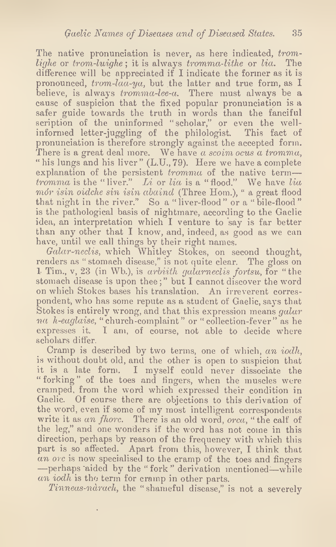The native pronunciation is never, as here indicated, tromlighe or trom-luighe; it is always tromma-lithe or  $lia$ . The difference will be appreciated if I indicate the former as it is pronounced, trom-laa-ya, but the latter and true form, as I believe, is always *tromma-lee-a*. There must always be a cause of suspicion that the fixed popular pronunciation is a safer guide towards the truth in words than the fanciful scription of the uninformed "scholar," or even the wellinformed letter-juggling of the philologist. This fact of pronunciation is therefore strongly against the accepted form. There is a great deal more. We have a scoim ocus a tromma, " his lungs and his liver" (L.U., 79). Here we have a complete explanation of the persistent  $tromma$  of the native term tromma is the "liver." Li or lia is a "flood." We have lia mór isin oidche sin isin abaind (Three Hom.), " a great flood that night in the river." So a "liver-flood" or a "bile-flood" is the pathological basis of nightmare, according to the Gaelic idea, an interpretation which I venture to say is far better than any other that I know, and, indeed, as good as we can have, until we call things by their right names.

Galar-neclis, which Whitley Stokes, on second thought, renders as "stomach disease," is not quite clear. The gloss on <sup>1</sup> Tim., v, 23 (in Wb.), is arbiith galarneclis fortsu, for " the stomach disease is upon thee;" but I cannot discover the word on which Stokes bases his translation. An irreverent correspondent, who has some repute as a student of Gaelic, says that Stokes is entirely wrong, and that this expression means galar na h-eaglaise, "church-complaint" or "collection-fever" as he expresses it. I am, of course, not able to decide where scholars differ.

Cramp is described by two terms, one of which, an iodh, is without doubt old, and the other is open to suspicion that it is a late form. I myself could never dissociate the "forking" of the toes and fingers, when the muscles were cramped, from the word which expressed their condition in Gaelic. Of course there are objections to this derivation of the word, even if some of my most intelligent correspondents write it as an fhorc. There is an old word, orca, "the calf of the leg," and one wonders if the word has not come in this direction, perhaps by reason of the frequency with which this part is so affected. Apart from this, however, I think that an orc is now specialised to the cramp of the toes and fingers -—perhaps aided by the "fork" derivation mentioned—while an iodh is the term for cramp in other parts.

Tinneas-ndrach, the " shameful disease," is not a severely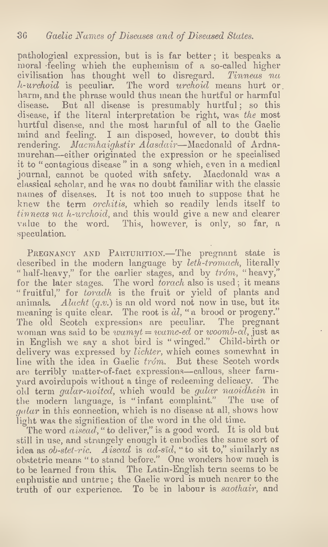pathological expression, but is is far better ; it bespeaks a moral feeling which the euphemism of a so-called higher civilisation has thought well to disregard. Tinneas na  $h$ -urchoid is peculiar. The word urchoid means hurt or harm, and the phrase would thus mean the hurtful or harmful disease. But all disease is presumably hurtful; so this disease, if the literal interpretation be right, was the most hurtful disease, and the most harmful of all to the Gaelic mind and feeling. I am disposed, however, to doubt this rendering. Macmhaighstir Alasdair—Macdonald of Ardnamurchan—either originated the expression or he specialised it to "contagious disease" in a song which, even in a medical journal, cannot be quoted with safety. Macdonald was a classical scholar, and he was no doubt familiar with the classic names of diseases. It is not too much to suppose that he knew the term orchitis, which so readily lends itself to tinneas na h-urchoid, and this would give a new and clearer value to the word. This, however, is only, so far, a speculation.

PREGNANCY AND PARTURITION.—The pregnant state is described in the modern language by leth-tromach, literally "half-heavy," for the earlier stages, and by tróm, "heavy," for the later stages. The word torach also is used; it means "fruitful," for toradh is the fruit or yield of plants and animals. Alacht  $(q.v.)$  is an old word not now in use, but its meaning is quite clear. The root is  $\partial l$ , " a brood or progeny." The old Scotch expressions are peculiar. The pregnant woman was said to be  $wamyt = wame-ed$  or  $woomb\text{-}cd$ , just as in English we say a shot bird is " winged." Child-birth or delivery was expressed by *lichter*, which comes somewhat in line with the idea in Gaelic trom. But these Scotch words are terribly matter-of-fact expressions—callous, sheer farmyard avoirdupois without a tinge of redeeming delicacy. The old term galar-noited, which would be galar naoidhein in the modern language, is "infant complaint." The use of galar in this connection, which is no disease at all, shows how light was the signification of the word in the old time.

The word aisead, " to deliver," is a good word. It is old but still in use, and strangely enough it embodies the same sort of idea as  $ob\text{-}stet\text{-}ric.$  Aliscad is ad-sīd, "to sit to," similarly as obstetric means " to stand before." One wonders how much is to be learned from this. The Latin-English term seems to be euphuistic and untrue; the Gaelic word is much nearer to the truth of our experience. To be in labour is saothair, and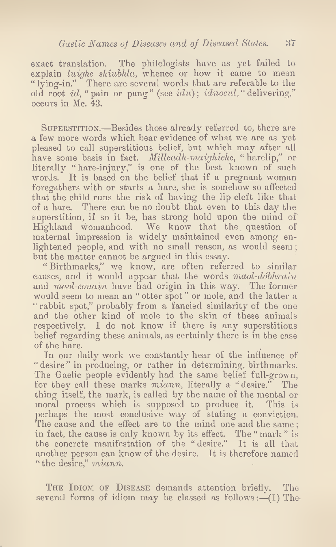exact translation. The philologists have as yet failed to explain luighe shiubhla, whence or how it came to mean "lying-in." There are several words that are referable to the old root id. " pain or pang" (see idu); idnocul, " delivering," occurs in Me. 43.

SUPERSTITION.—Besides those already referred to, there are a few more words which bear evidence of what we are as yet pleased to call superstitious belief, but which may after all have some basis in fact. *Milleadh-maighiche*, "harelip," or literally "hare-injury," is one of the best known of such words. It is based on the belief that if a pregnant woman foregathers with or starts a hare, she is somehow so affected that the child runs the risk of having the lip cleft like that of a hare. There can be no doubt that even to this day the superstition, if so it be, has strong hold upon the mind of Highland womanhood. We know that the question of maternal impression is widely maintained even among enlightened people, and with no small reason, as would seem; but the matter cannot be argued in this essay.

" Birthmarks," we know, are often referred to similar causes, and it would appear that the words maol-dobhrain and maol-conain have had origin in this way. The former would seem to mean an " otter spot " or mole, and the latter a " rabbit spot," probably from a fancied similarity of the one and the other kind of mole to the skin of these animals respectively. I do not know if there is any superstitious belief regarding these animals, as certainly there is in the case of the hare.

In our daily work we constantly hear of the influence of " desire" in producing, or rather in determining, birthmarks. The Gaelic people evidently had the same belief full-grown, for they call these marks *miann*, literally a "desire." The thing itself, the mark, is called by the name of the mental or moral process which is supposed to produce it. This is perhaps the most conclusive way of stating a conviction. The cause and the effect are to the mind one and the same; in fact, the cause is only known by its effect. The " mark " is the concrete manifestation of the " desire." It is all that another person can know of the desire. It is therefore named " the desire," miann.

THE IDIOM OF DISEASE demands attention briefly. The several forms of idiom may be classed as follows: $-(1)$  The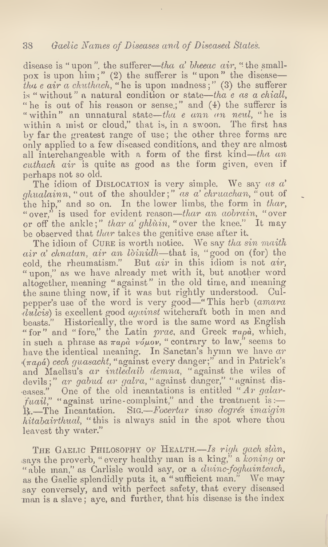disease is " upon", the sufferer—tha a' bheeac air, " the smallpox is upon  $\lim$ ;" (2) the sufferer is "upon" the disease tha e air a chuthach, " he is upon madness;" (3) the sufferer is "without" a natural condition or state—tha  $e$  as a chiall, " he is out of his reason or sense;" and  $(4)$  the sufferer is "within" an unnatural state—tha e ann an neul, "he is within a mist or cloud," that is, in a swoon. The first has by far the greatest range of use; the other three forms are only applied to a few diseased conditions, and they are almost all interchangeable with a form of the first kind—tha an cuthach air is quite as good as the form given, even if perhaps not so old.

The idiom of DISLOCATION is very simple. We say  $as a'$  $ghualainn$ , "out of the shoulder;" as a' chruachan, "out of the hip," and so on. In the lower limbs, the form in thar, " over," is used for evident reason—thar an aobrain, "over or off the ankle;" thar a' ghlùin, "over the knee." It may be observed that thar takes the genitive case after it.

The idiom of CURE is worth notice. We say tha sin maith air a' chnatan, air an Ibinidh—that is, "good on (for) the cold, the rheumatism." But air in this idiom is not air, " upon," as we have already met with it, but another word altogether, meaning "against" in the old time, and meaning the same thing now, if it was but rightly understood. Culpepper's use of the word is very good—" This herb (amara dulcis) is excellent good *against* witchcraft both in men and beasts." Historically, the word is the same word as English "for" and "fore," the Latin prae, and Greek  $\pi a \rho \dot{a}$ , which, in such a phrase as  $\pi a \rho \dot{a}$  vo $\mu \dot{\rho} \nu$ , " contrary to law," seems to have the identical meaning. In Sanctan's hymn we have  $ar$  $(\pi a_{\rho}\hat{a})$  cech quasacht, "against every danger;" and in Patrick's and Maelisu's ar intledaib demna, " against the wiles of devils;" ar gabud ar galra, " against danger," " against diseases." One of the old incantations is entitled "Ar galar $faail$ ," "against urine-complaint," and the treatment is:  $R_{\star}$ —The Incantation. Sig.—Focertar inso dogrés imaigin hitabairthual, "this is always said in the spot where thou leavest thy water."

THE GAELIC PHILOSOPHY OF HEALTH.—Is righ gach slan, says the proverb, "every healthy man is a king," a koning or " able man," as Carlisle would say, or a duinc-foghainteach, as the Gaelic splendidly puts it, a "sufficient man." We may say conversely, and with perfect safety, that every diseased man is a slave; aye, and further, that his disease is the index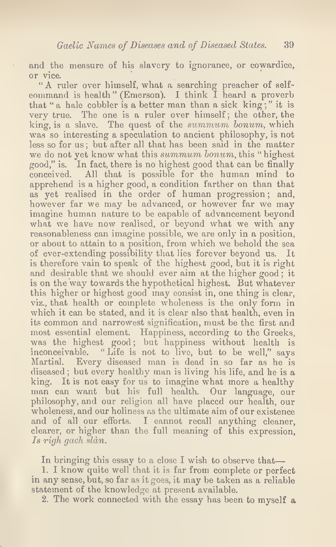and the measure of his slavery to ignorance, or cowardice, or vice.

" A ruler over himself, what a searching preacher of selfeommand is health" (Emerson). I think I heard a proverb that "a hale cobbler is a better man than a sick king;" it is very true. The one is a ruler over himself; the other, the king, is a slave. The quest of the summum bonum, which was so interesting a speculation to ancient philosophy, is not less so for us; but after all that has been said in the matter we do not yet know what this summum bonum, this "highest good," is. In fact, there is no highest good that can be finally conceived. All that is possible for the human mind to apprehend is a higher good, a condition farther on than that as yet realised in the order of human progression; and, however far we may be advanced, or however far we may imagine human nature to be capable of advancement beyond what we have now realised, or beyond what we with any reasonableness can imagine possible, we are only in a position, or about to attain to a position, from which we behold the sea of ever-extending possibility that lies forever beyond us. It is therefore vain to speak of the highest good, but it is right and desirable that we should ever aim at the higher good; it is on the way towards the hypothetical highest. But whatever this higher or highest good may consist in, one thing is clear, viz., that health or complete wholeness is the only form in which it can be stated, and it is clear also that health, even in its common and narrowest signification, must be the first and most essential element. Happiness, according to the Greeks, was the highest good; but happiness without health is inconceivable. "Life is not to live, but to be well," says Martial. Every diseased man is dead in so far as he is diseased ; but every healthy man is living his life, and he is a king. It is not easy for us to imagine what more a healthy man can want but his full health. Our language, our philosophy, and our religion all have placed our health, our wholeness, and our holiness as the ultimate aim of our existence and of all our efforts. I cannot recall anything cleaner, clearer, or higher than the full meaning of this expression, Is righ gach sldn.

In bringing this essay to a close I wish to observe that—

1. I know quite well that it is far from complete or perfect in any sense, but, so far as it goes, it may be taken as a reliable statement of the knowledge at present available.

2. The work connected with the essay has been to myself a